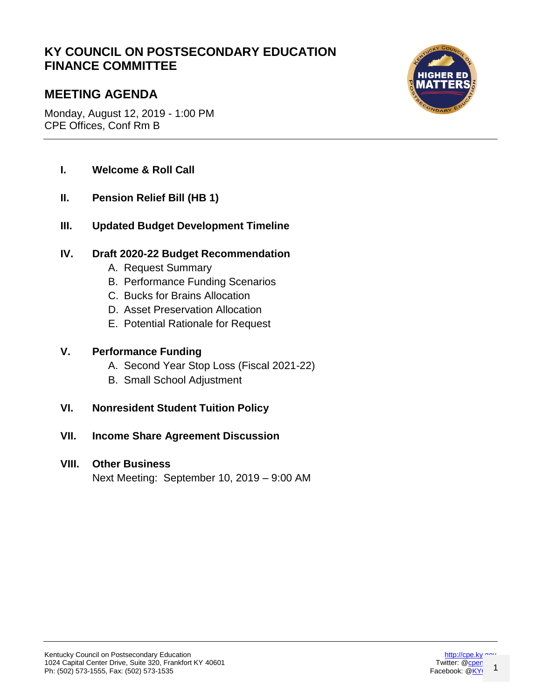# **KY COUNCIL ON POSTSECONDARY EDUCATION FINANCE COMMITTEE**

# **MEETING AGENDA**

Monday, August 12, 2019 - 1:00 PM CPE Offices, Conf Rm B



- **I. Welcome & Roll Call**
- **II. Pension Relief Bill (HB 1)**
- **III. Updated Budget Development Timeline**

## **IV. Draft 2020-22 Budget Recommendation**

- A. Request Summary
- B. Performance Funding Scenarios
- C. Bucks for Brains Allocation
- D. Asset Preservation Allocation
- E. Potential Rationale for Request

### **V. Performance Funding**

- A. Second Year Stop Loss (Fiscal 2021-22)
- B. Small School Adjustment
- **VI. Nonresident Student Tuition Policy**
- **VII. Income Share Agreement Discussion**

### **VIII. Other Business**

Next Meeting: September 10, 2019 – 9:00 AM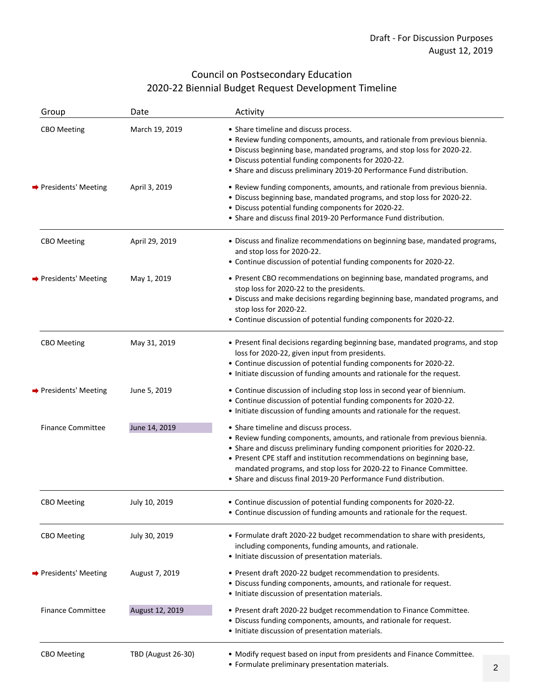# Council on Postsecondary Education 2020‐22 Biennial Budget Request Development Timeline

| Group                    | Date                      | Activity                                                                                                                                                                                                                                                                                                                                                                                                             |
|--------------------------|---------------------------|----------------------------------------------------------------------------------------------------------------------------------------------------------------------------------------------------------------------------------------------------------------------------------------------------------------------------------------------------------------------------------------------------------------------|
| <b>CBO</b> Meeting       | March 19, 2019            | • Share timeline and discuss process.<br>• Review funding components, amounts, and rationale from previous biennia.<br>· Discuss beginning base, mandated programs, and stop loss for 2020-22.<br>• Discuss potential funding components for 2020-22.<br>• Share and discuss preliminary 2019-20 Performance Fund distribution.                                                                                      |
| → Presidents' Meeting    | April 3, 2019             | • Review funding components, amounts, and rationale from previous biennia.<br>· Discuss beginning base, mandated programs, and stop loss for 2020-22.<br>• Discuss potential funding components for 2020-22.<br>• Share and discuss final 2019-20 Performance Fund distribution.                                                                                                                                     |
| <b>CBO</b> Meeting       | April 29, 2019            | • Discuss and finalize recommendations on beginning base, mandated programs,<br>and stop loss for 2020-22.<br>• Continue discussion of potential funding components for 2020-22.                                                                                                                                                                                                                                     |
| → Presidents' Meeting    | May 1, 2019               | • Present CBO recommendations on beginning base, mandated programs, and<br>stop loss for 2020-22 to the presidents.<br>• Discuss and make decisions regarding beginning base, mandated programs, and<br>stop loss for 2020-22.<br>• Continue discussion of potential funding components for 2020-22.                                                                                                                 |
| <b>CBO</b> Meeting       | May 31, 2019              | • Present final decisions regarding beginning base, mandated programs, and stop<br>loss for 2020-22, given input from presidents.<br>• Continue discussion of potential funding components for 2020-22.<br>• Initiate discussion of funding amounts and rationale for the request.                                                                                                                                   |
| → Presidents' Meeting    | June 5, 2019              | • Continue discussion of including stop loss in second year of biennium.<br>• Continue discussion of potential funding components for 2020-22.<br>• Initiate discussion of funding amounts and rationale for the request.                                                                                                                                                                                            |
| <b>Finance Committee</b> | June 14, 2019             | • Share timeline and discuss process.<br>• Review funding components, amounts, and rationale from previous biennia.<br>• Share and discuss preliminary funding component priorities for 2020-22.<br>• Present CPE staff and institution recommendations on beginning base,<br>mandated programs, and stop loss for 2020-22 to Finance Committee.<br>• Share and discuss final 2019-20 Performance Fund distribution. |
| <b>CBO</b> Meeting       | July 10, 2019             | • Continue discussion of potential funding components for 2020-22.<br>• Continue discussion of funding amounts and rationale for the request.                                                                                                                                                                                                                                                                        |
| <b>CBO</b> Meeting       | July 30, 2019             | • Formulate draft 2020-22 budget recommendation to share with presidents,<br>including components, funding amounts, and rationale.<br>• Initiate discussion of presentation materials.                                                                                                                                                                                                                               |
| → Presidents' Meeting    | August 7, 2019            | • Present draft 2020-22 budget recommendation to presidents.<br>• Discuss funding components, amounts, and rationale for request.<br>• Initiate discussion of presentation materials.                                                                                                                                                                                                                                |
| <b>Finance Committee</b> | August 12, 2019           | • Present draft 2020-22 budget recommendation to Finance Committee.<br>• Discuss funding components, amounts, and rationale for request.<br>• Initiate discussion of presentation materials.                                                                                                                                                                                                                         |
| <b>CBO</b> Meeting       | <b>TBD (August 26-30)</b> | • Modify request based on input from presidents and Finance Committee.<br>• Formulate preliminary presentation materials.<br>2                                                                                                                                                                                                                                                                                       |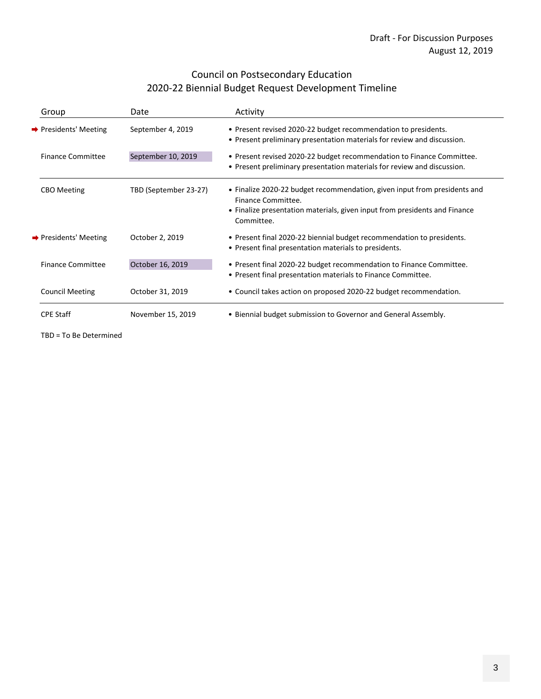# Council on Postsecondary Education 2020‐22 Biennial Budget Request Development Timeline

| Group                             | Date                  | Activity                                                                                                                                                                                    |
|-----------------------------------|-----------------------|---------------------------------------------------------------------------------------------------------------------------------------------------------------------------------------------|
| → Presidents' Meeting             | September 4, 2019     | • Present revised 2020-22 budget recommendation to presidents.<br>• Present preliminary presentation materials for review and discussion.                                                   |
| <b>Finance Committee</b>          | September 10, 2019    | • Present revised 2020-22 budget recommendation to Finance Committee.<br>• Present preliminary presentation materials for review and discussion.                                            |
| <b>CBO</b> Meeting                | TBD (September 23-27) | • Finalize 2020-22 budget recommendation, given input from presidents and<br>Finance Committee.<br>• Finalize presentation materials, given input from presidents and Finance<br>Committee. |
| $\rightarrow$ Presidents' Meeting | October 2, 2019       | • Present final 2020-22 biennial budget recommendation to presidents.<br>• Present final presentation materials to presidents.                                                              |
| Finance Committee                 | October 16, 2019      | • Present final 2020-22 budget recommendation to Finance Committee.<br>• Present final presentation materials to Finance Committee.                                                         |
| <b>Council Meeting</b>            | October 31, 2019      | • Council takes action on proposed 2020-22 budget recommendation.                                                                                                                           |
| <b>CPE Staff</b>                  | November 15, 2019     | • Biennial budget submission to Governor and General Assembly.                                                                                                                              |

TBD = To Be Determined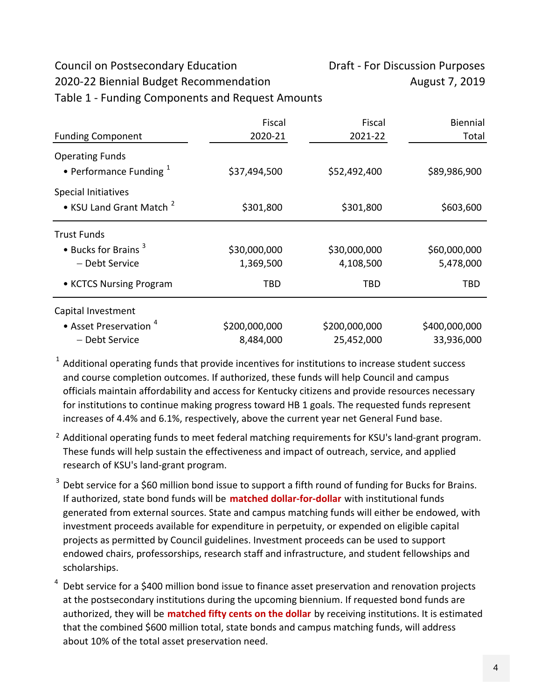# Council on Postsecondary Education Draft - For Discussion Purposes

2020-22 Biennial Budget Recommendation August 7, 2019

Table 1 ‐ Funding Components and Request Amounts

|                                                                   | Fiscal        | Fiscal        | <b>Biennial</b> |
|-------------------------------------------------------------------|---------------|---------------|-----------------|
| <b>Funding Component</b>                                          | 2020-21       | 2021-22       | Total           |
| <b>Operating Funds</b><br>• Performance Funding $1$               | \$37,494,500  | \$52,492,400  | \$89,986,900    |
| <b>Special Initiatives</b><br>• KSU Land Grant Match <sup>2</sup> | \$301,800     | \$301,800     | \$603,600       |
| <b>Trust Funds</b>                                                |               |               |                 |
| $\bullet$ Bucks for Brains $^3$                                   | \$30,000,000  | \$30,000,000  | \$60,000,000    |
| - Debt Service                                                    | 1,369,500     | 4,108,500     | 5,478,000       |
| • KCTCS Nursing Program                                           | TBD           | TBD           | TBD             |
| Capital Investment                                                |               |               |                 |
| • Asset Preservation $4$                                          | \$200,000,000 | \$200,000,000 | \$400,000,000   |
| - Debt Service                                                    | 8,484,000     | 25,452,000    | 33,936,000      |

 $1$  Additional operating funds that provide incentives for institutions to increase student success and course completion outcomes. If authorized, these funds will help Council and campus officials maintain affordability and access for Kentucky citizens and provide resources necessary for institutions to continue making progress toward HB 1 goals. The requested funds represent increases of 4.4% and 6.1%, respectively, above the current year net General Fund base.

- <sup>2</sup> Additional operating funds to meet federal matching requirements for KSU's land-grant program. These funds will help sustain the effectiveness and impact of outreach, service, and applied research of KSU's land‐grant program.
- $3$  Debt service for a \$60 million bond issue to support a fifth round of funding for Bucks for Brains. If authorized, state bond funds will be **matched dollar‐for‐dollar** with institutional funds generated from external sources. State and campus matching funds will either be endowed, with investment proceeds available for expenditure in perpetuity, or expended on eligible capital projects as permitted by Council guidelines. Investment proceeds can be used to support endowed chairs, professorships, research staff and infrastructure, and student fellowships and scholarships.

4 Debt service for a \$400 million bond issue to finance asset preservation and renovation projects at the postsecondary institutions during the upcoming biennium. If requested bond funds are authorized, they will be **matched fifty cents on the dollar** by receiving institutions. It is estimated that the combined \$600 million total, state bonds and campus matching funds, will address about 10% of the total asset preservation need.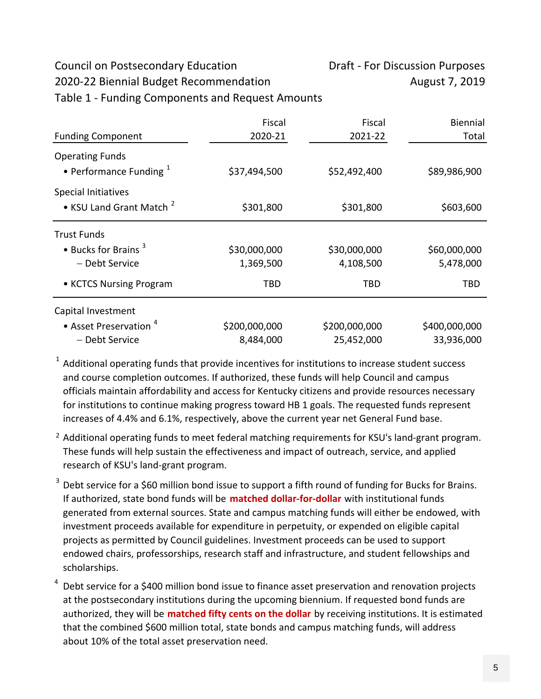# Council on Postsecondary Education Draft - For Discussion Purposes

2020-22 Biennial Budget Recommendation August 7, 2019

Table 1 ‐ Funding Components and Request Amounts

|                                                                   | Fiscal        | Fiscal        | <b>Biennial</b> |
|-------------------------------------------------------------------|---------------|---------------|-----------------|
| <b>Funding Component</b>                                          | 2020-21       | 2021-22       | Total           |
| <b>Operating Funds</b><br>• Performance Funding $1$               | \$37,494,500  | \$52,492,400  | \$89,986,900    |
| <b>Special Initiatives</b><br>• KSU Land Grant Match <sup>2</sup> | \$301,800     | \$301,800     | \$603,600       |
| <b>Trust Funds</b>                                                |               |               |                 |
| $\bullet$ Bucks for Brains $^3$                                   | \$30,000,000  | \$30,000,000  | \$60,000,000    |
| - Debt Service                                                    | 1,369,500     | 4,108,500     | 5,478,000       |
| • KCTCS Nursing Program                                           | TBD           | TBD           | TBD             |
| Capital Investment                                                |               |               |                 |
| • Asset Preservation $4$                                          | \$200,000,000 | \$200,000,000 | \$400,000,000   |
| - Debt Service                                                    | 8,484,000     | 25,452,000    | 33,936,000      |

 $1$  Additional operating funds that provide incentives for institutions to increase student success and course completion outcomes. If authorized, these funds will help Council and campus officials maintain affordability and access for Kentucky citizens and provide resources necessary for institutions to continue making progress toward HB 1 goals. The requested funds represent increases of 4.4% and 6.1%, respectively, above the current year net General Fund base.

- <sup>2</sup> Additional operating funds to meet federal matching requirements for KSU's land-grant program. These funds will help sustain the effectiveness and impact of outreach, service, and applied research of KSU's land‐grant program.
- $3$  Debt service for a \$60 million bond issue to support a fifth round of funding for Bucks for Brains. If authorized, state bond funds will be **matched dollar‐for‐dollar** with institutional funds generated from external sources. State and campus matching funds will either be endowed, with investment proceeds available for expenditure in perpetuity, or expended on eligible capital projects as permitted by Council guidelines. Investment proceeds can be used to support endowed chairs, professorships, research staff and infrastructure, and student fellowships and scholarships.

4 Debt service for a \$400 million bond issue to finance asset preservation and renovation projects at the postsecondary institutions during the upcoming biennium. If requested bond funds are authorized, they will be **matched fifty cents on the dollar** by receiving institutions. It is estimated that the combined \$600 million total, state bonds and campus matching funds, will address about 10% of the total asset preservation need.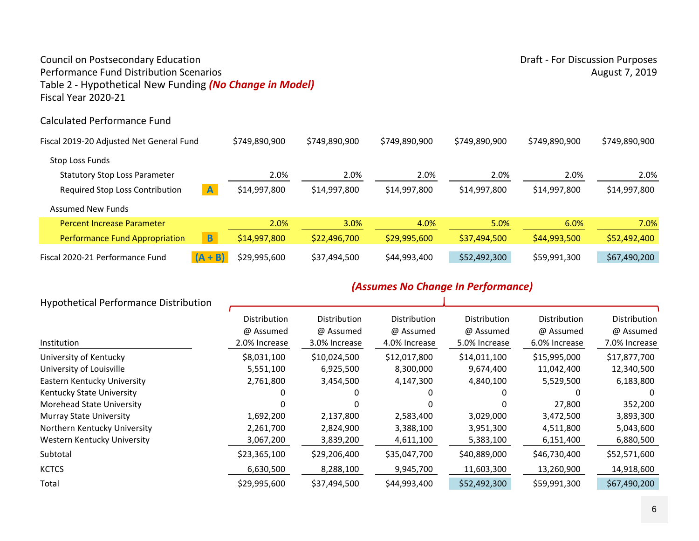### Council on Postsecondary Education **Draft - For Discussion Purposes** Draft - For Discussion Purposes Performance Fund Distribution ScenariosTable 2 ‐ Hypothetical New Funding *(No Change in Model)* Fiscal Year 2020‐21

#### Calculated Performance Fund

| Fiscal 2019-20 Adjusted Net General Fund |                | \$749,890,900 | \$749,890,900 | \$749,890,900 | \$749,890,900 | \$749,890,900 | \$749,890,900 |
|------------------------------------------|----------------|---------------|---------------|---------------|---------------|---------------|---------------|
| Stop Loss Funds                          |                |               |               |               |               |               |               |
| <b>Statutory Stop Loss Parameter</b>     |                | 2.0%          | 2.0%          | 2.0%          | 2.0%          | 2.0%          | 2.0%          |
| Required Stop Loss Contribution          | $\overline{A}$ | \$14,997,800  | \$14,997,800  | \$14,997,800  | \$14,997,800  | \$14,997,800  | \$14,997,800  |
| <b>Assumed New Funds</b>                 |                |               |               |               |               |               |               |
| <b>Percent Increase Parameter</b>        |                | 2.0%          | 3.0%          | 4.0%          | 5.0%          | 6.0%          | 7.0%          |
| <b>Performance Fund Appropriation</b>    | $\overline{B}$ | \$14,997,800  | \$22,496,700  | \$29,995,600  | \$37,494,500  | \$44,993,500  | \$52,492,400  |
| Fiscal 2020-21 Performance Fund          | $(A + B)$      | \$29,995,600  | \$37,494,500  | \$44,993,400  | \$52,492,300  | \$59,991,300  | \$67,490,200  |

#### *(Assumes No Change In Performance)*  $\sim$

| <b>Hypothetical Performance Distribution</b> |                           |                           |                           |                           |                           |                           |
|----------------------------------------------|---------------------------|---------------------------|---------------------------|---------------------------|---------------------------|---------------------------|
|                                              | Distribution<br>@ Assumed | Distribution<br>@ Assumed | Distribution<br>@ Assumed | Distribution<br>@ Assumed | Distribution<br>@ Assumed | Distribution<br>@ Assumed |
| Institution                                  | 2.0% Increase             | 3.0% Increase             | 4.0% Increase             | 5.0% Increase             | 6.0% Increase             | 7.0% Increase             |
| University of Kentucky                       | \$8,031,100               | \$10,024,500              | \$12,017,800              | \$14,011,100              | \$15,995,000              | \$17,877,700              |
| University of Louisville                     | 5,551,100                 | 6,925,500                 | 8,300,000                 | 9,674,400                 | 11,042,400                | 12,340,500                |
| Eastern Kentucky University                  | 2,761,800                 | 3,454,500                 | 4,147,300                 | 4,840,100                 | 5,529,500                 | 6,183,800                 |
| Kentucky State University                    |                           |                           |                           |                           |                           |                           |
| Morehead State University                    |                           |                           |                           |                           | 27,800                    | 352,200                   |
| Murray State University                      | 1,692,200                 | 2,137,800                 | 2,583,400                 | 3,029,000                 | 3,472,500                 | 3,893,300                 |
| Northern Kentucky University                 | 2,261,700                 | 2,824,900                 | 3,388,100                 | 3,951,300                 | 4,511,800                 | 5,043,600                 |
| Western Kentucky University                  | 3,067,200                 | 3,839,200                 | 4,611,100                 | 5,383,100                 | 6,151,400                 | 6,880,500                 |
| Subtotal                                     | \$23,365,100              | \$29,206,400              | \$35,047,700              | \$40,889,000              | \$46,730,400              | \$52,571,600              |
| <b>KCTCS</b>                                 | 6,630,500                 | 8,288,100                 | 9,945,700                 | 11,603,300                | 13,260,900                | 14,918,600                |
| Total                                        | \$29,995,600              | \$37,494,500              | \$44,993,400              | \$52,492,300              | \$59,991,300              | \$67,490,200              |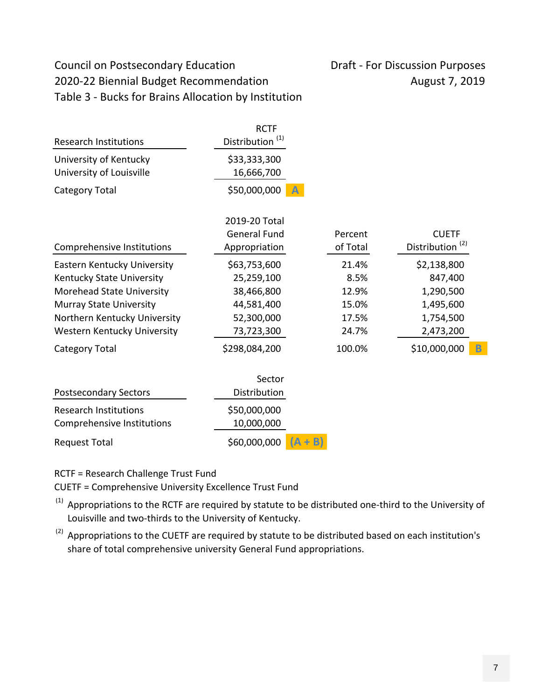# Council on Postsecondary Education Draft - For Discussion Purposes 2020-22 Biennial Budget Recommendation August 7, 2019 Table 3 ‐ Bucks for Brains Allocation by Institution

| <b>Research Institutions</b>                                                                                                                                                           | <b>RCTF</b><br>Distribution <sup>(1)</sup>                                         |                                                   |                                                                            |  |
|----------------------------------------------------------------------------------------------------------------------------------------------------------------------------------------|------------------------------------------------------------------------------------|---------------------------------------------------|----------------------------------------------------------------------------|--|
| University of Kentucky<br>University of Louisville                                                                                                                                     | \$33,333,300<br>16,666,700                                                         |                                                   |                                                                            |  |
| Category Total                                                                                                                                                                         | \$50,000,000                                                                       |                                                   |                                                                            |  |
| Comprehensive Institutions                                                                                                                                                             | 2019-20 Total<br><b>General Fund</b><br>Appropriation                              | Percent<br>of Total                               | <b>CUETF</b><br>Distribution <sup>(2)</sup>                                |  |
| Eastern Kentucky University<br>Kentucky State University<br>Morehead State University<br><b>Murray State University</b><br>Northern Kentucky University<br>Western Kentucky University | \$63,753,600<br>25,259,100<br>38,466,800<br>44,581,400<br>52,300,000<br>73,723,300 | 21.4%<br>8.5%<br>12.9%<br>15.0%<br>17.5%<br>24.7% | \$2,138,800<br>847,400<br>1,290,500<br>1,495,600<br>1,754,500<br>2,473,200 |  |
| <b>Category Total</b><br><b>Postsecondary Sectors</b>                                                                                                                                  | \$298,084,200<br>Sector<br>Distribution                                            | 100.0%                                            | \$10,000,000<br>B                                                          |  |
| <b>Research Institutions</b><br>Comprehensive Institutions                                                                                                                             | \$50,000,000<br>10,000,000                                                         |                                                   |                                                                            |  |
| <b>Request Total</b>                                                                                                                                                                   | \$60,000,000                                                                       | B)                                                |                                                                            |  |

RCTF = Research Challenge Trust Fund

CUETF = Comprehensive University Excellence Trust Fund

 $^{(1)}$  Appropriations to the RCTF are required by statute to be distributed one-third to the University of Louisville and two‐thirds to the University of Kentucky.

 $(2)$  Appropriations to the CUETF are required by statute to be distributed based on each institution's share of total comprehensive university General Fund appropriations.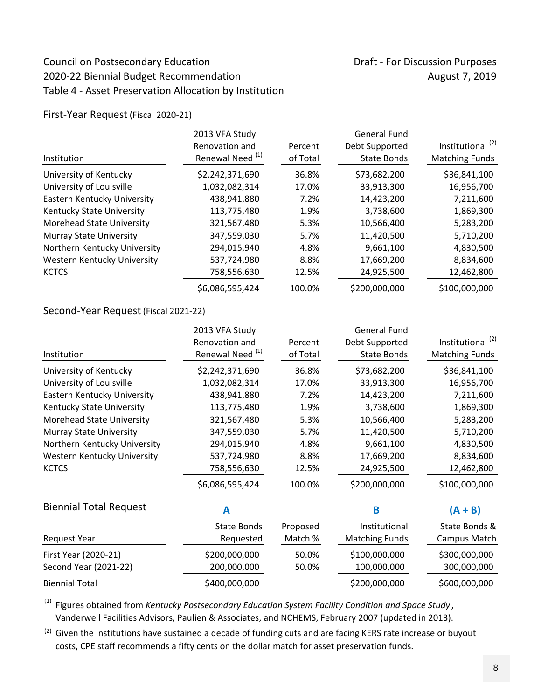# Council on Postsecondary Education Draft - For Discussion Purposes 2020-22 Biennial Budget Recommendation and all the manufacture of the August 7, 2019 Table 4 ‐ Asset Preservation Allocation by Institution

First‐Year Request (Fiscal 2020‐21)

| Institution                      | 2013 VFA Study<br>Renovation and<br>Renewal Need <sup>(1)</sup> | Percent<br>of Total | <b>General Fund</b><br>Debt Supported<br><b>State Bonds</b> | Institutional <sup>(2)</sup><br><b>Matching Funds</b> |
|----------------------------------|-----------------------------------------------------------------|---------------------|-------------------------------------------------------------|-------------------------------------------------------|
| University of Kentucky           | \$2,242,371,690                                                 | 36.8%               | \$73,682,200                                                | \$36,841,100                                          |
| University of Louisville         | 1,032,082,314                                                   | 17.0%               | 33,913,300                                                  | 16,956,700                                            |
| Eastern Kentucky University      | 438,941,880                                                     | 7.2%                | 14,423,200                                                  | 7,211,600                                             |
| Kentucky State University        | 113,775,480                                                     | 1.9%                | 3,738,600                                                   | 1,869,300                                             |
| <b>Morehead State University</b> | 321,567,480                                                     | 5.3%                | 10,566,400                                                  | 5,283,200                                             |
| <b>Murray State University</b>   | 347,559,030                                                     | 5.7%                | 11,420,500                                                  | 5,710,200                                             |
| Northern Kentucky University     | 294,015,940                                                     | 4.8%                | 9,661,100                                                   | 4,830,500                                             |
| Western Kentucky University      | 537,724,980                                                     | 8.8%                | 17,669,200                                                  | 8,834,600                                             |
| <b>KCTCS</b>                     | 758,556,630                                                     | 12.5%               | 24,925,500                                                  | 12,462,800                                            |
|                                  | \$6,086,595,424                                                 | 100.0%              | \$200,000,000                                               | \$100,000,000                                         |

### Second‐Year Request (Fiscal 2021‐22)

|                                | 2013 VFA Study              |          | <b>General Fund</b>   |                              |
|--------------------------------|-----------------------------|----------|-----------------------|------------------------------|
|                                | Renovation and              | Percent  | Debt Supported        | Institutional <sup>(2)</sup> |
| Institution                    | Renewal Need <sup>(1)</sup> | of Total | <b>State Bonds</b>    | <b>Matching Funds</b>        |
| University of Kentucky         | \$2,242,371,690             | 36.8%    | \$73,682,200          | \$36,841,100                 |
| University of Louisville       | 1,032,082,314               | 17.0%    | 33,913,300            | 16,956,700                   |
| Eastern Kentucky University    | 438,941,880                 | 7.2%     | 14,423,200            | 7,211,600                    |
| Kentucky State University      | 113,775,480                 | 1.9%     | 3,738,600             | 1,869,300                    |
| Morehead State University      | 321,567,480                 | 5.3%     | 10,566,400            | 5,283,200                    |
| <b>Murray State University</b> | 347,559,030                 | 5.7%     | 11,420,500            | 5,710,200                    |
| Northern Kentucky University   | 294,015,940                 | 4.8%     | 9,661,100             | 4,830,500                    |
| Western Kentucky University    | 537,724,980                 | 8.8%     | 17,669,200            | 8,834,600                    |
| <b>KCTCS</b>                   | 758,556,630                 | 12.5%    | 24,925,500            | 12,462,800                   |
|                                | \$6,086,595,424             | 100.0%   | \$200,000,000         | \$100,000,000                |
| <b>Biennial Total Request</b>  | A                           |          | B                     | $(A + B)$                    |
|                                | <b>State Bonds</b>          | Proposed | Institutional         | State Bonds &                |
| <b>Request Year</b>            | Requested                   | Match %  | <b>Matching Funds</b> | Campus Match                 |
| First Year (2020-21)           | \$200,000,000               | 50.0%    | \$100,000,000         | \$300,000,000                |
| Second Year (2021-22)          | 200,000,000                 | 50.0%    | 100,000,000           | 300,000,000                  |

<sup>(1)</sup> Figures obtained from *Kentucky Postsecondary Education System Facility Condition and Space Study,* Vanderweil Facilities Advisors, Paulien & Associates, and NCHEMS, February 2007 (updated in 2013).

 $^{(2)}$  Given the institutions have sustained a decade of funding cuts and are facing KERS rate increase or buyout costs, CPE staff recommends a fifty cents on the dollar match for asset preservation funds.

Biennial Total  $$400,000,000$   $$5200,000,000$   $$600,000,000$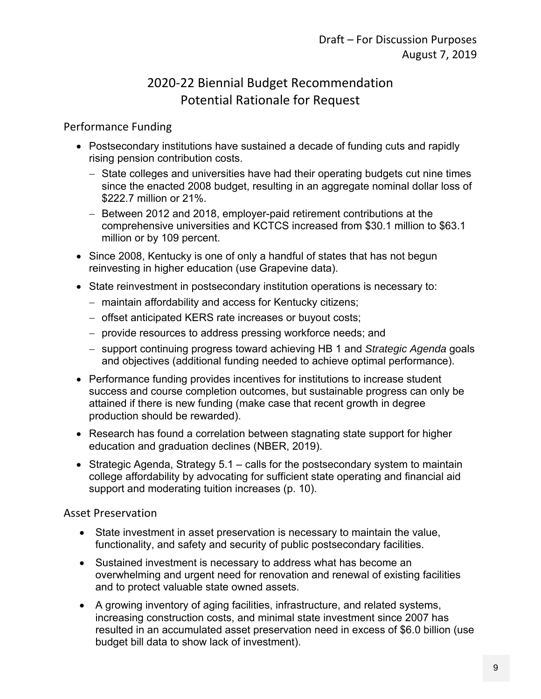# 2020‐22 Biennial Budget Recommendation Potential Rationale for Request

### Performance Funding

- Postsecondary institutions have sustained a decade of funding cuts and rapidly rising pension contribution costs.
	- State colleges and universities have had their operating budgets cut nine times since the enacted 2008 budget, resulting in an aggregate nominal dollar loss of \$222.7 million or 21%.
	- Between 2012 and 2018, employer-paid retirement contributions at the comprehensive universities and KCTCS increased from \$30.1 million to \$63.1 million or by 109 percent.
- Since 2008, Kentucky is one of only a handful of states that has not begun reinvesting in higher education (use Grapevine data).
- State reinvestment in postsecondary institution operations is necessary to:
	- maintain affordability and access for Kentucky citizens;
	- offset anticipated KERS rate increases or buyout costs;
	- provide resources to address pressing workforce needs; and
	- support continuing progress toward achieving HB 1 and *Strategic Agenda* goals and objectives (additional funding needed to achieve optimal performance).
- Performance funding provides incentives for institutions to increase student success and course completion outcomes, but sustainable progress can only be attained if there is new funding (make case that recent growth in degree production should be rewarded).
- Research has found a correlation between stagnating state support for higher education and graduation declines (NBER, 2019).
- Strategic Agenda, Strategy 5.1 calls for the postsecondary system to maintain college affordability by advocating for sufficient state operating and financial aid support and moderating tuition increases (p. 10).

# Asset Preservation

- State investment in asset preservation is necessary to maintain the value, functionality, and safety and security of public postsecondary facilities.
- Sustained investment is necessary to address what has become an overwhelming and urgent need for renovation and renewal of existing facilities and to protect valuable state owned assets.
- A growing inventory of aging facilities, infrastructure, and related systems, increasing construction costs, and minimal state investment since 2007 has resulted in an accumulated asset preservation need in excess of \$6.0 billion (use budget bill data to show lack of investment).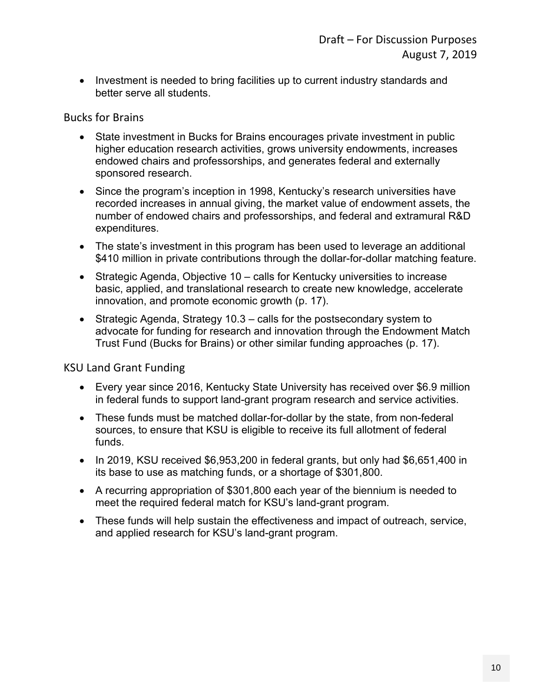• Investment is needed to bring facilities up to current industry standards and better serve all students.

Bucks for Brains

- State investment in Bucks for Brains encourages private investment in public higher education research activities, grows university endowments, increases endowed chairs and professorships, and generates federal and externally sponsored research.
- Since the program's inception in 1998, Kentucky's research universities have recorded increases in annual giving, the market value of endowment assets, the number of endowed chairs and professorships, and federal and extramural R&D expenditures.
- The state's investment in this program has been used to leverage an additional \$410 million in private contributions through the dollar-for-dollar matching feature.
- Strategic Agenda, Objective 10 calls for Kentucky universities to increase basic, applied, and translational research to create new knowledge, accelerate innovation, and promote economic growth (p. 17).
- Strategic Agenda, Strategy 10.3 calls for the postsecondary system to advocate for funding for research and innovation through the Endowment Match Trust Fund (Bucks for Brains) or other similar funding approaches (p. 17).

# KSU Land Grant Funding

- Every year since 2016, Kentucky State University has received over \$6.9 million in federal funds to support land-grant program research and service activities.
- These funds must be matched dollar-for-dollar by the state, from non-federal sources, to ensure that KSU is eligible to receive its full allotment of federal funds.
- $\bullet$  In 2019, KSU received \$6,953,200 in federal grants, but only had \$6,651,400 in its base to use as matching funds, or a shortage of \$301,800.
- A recurring appropriation of \$301,800 each year of the biennium is needed to meet the required federal match for KSU's land-grant program.
- These funds will help sustain the effectiveness and impact of outreach, service, and applied research for KSU's land-grant program.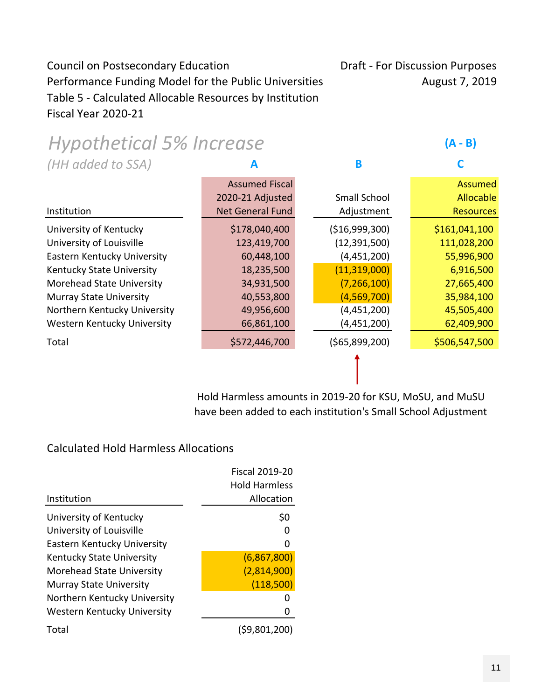# Council on Postsecondary Education Draft - For Discussion Purposes Performance Funding Model for the Public Universities August 7, 2019 Table 5 ‐ Calculated Allocable Resources by Institution Fiscal Year 2020‐21

| <b>Hypothetical 5% Increase</b> |                         |                 | (A - B)          |
|---------------------------------|-------------------------|-----------------|------------------|
| (HH added to SSA)               | А                       | B               |                  |
|                                 | <b>Assumed Fiscal</b>   |                 | <b>Assumed</b>   |
|                                 | 2020-21 Adjusted        | Small School    | Allocable        |
| Institution                     | <b>Net General Fund</b> | Adjustment      | <b>Resources</b> |
| University of Kentucky          | \$178,040,400           | ( \$16,999,300) | \$161,041,100    |
| University of Louisville        | 123,419,700             | (12, 391, 500)  | 111,028,200      |
| Eastern Kentucky University     | 60,448,100              | (4,451,200)     | 55,996,900       |
| Kentucky State University       | 18,235,500              | (11, 319, 000)  | 6,916,500        |
| Morehead State University       | 34,931,500              | (7, 266, 100)   | 27,665,400       |
| <b>Murray State University</b>  | 40,553,800              | (4, 569, 700)   | 35,984,100       |
| Northern Kentucky University    | 49,956,600              | (4,451,200)     | 45,505,400       |
| Western Kentucky University     | 66,861,100              | (4,451,200)     | 62,409,900       |
| Total                           | \$572,446,700           | ( \$65,899,200) | \$506,547,500    |
|                                 |                         |                 |                  |

Hold Harmless amounts in 2019‐20 for KSU, MoSU, and MuSU have been added to each institution's Small School Adjustment

## Calculated Hold Harmless Allocations

|                                  | <b>Fiscal 2019-20</b> |
|----------------------------------|-----------------------|
|                                  | <b>Hold Harmless</b>  |
| Institution                      | Allocation            |
| University of Kentucky           | \$0                   |
| University of Louisville         |                       |
| Eastern Kentucky University      |                       |
| <b>Kentucky State University</b> | (6,867,800)           |
| Morehead State University        | (2,814,900)           |
| <b>Murray State University</b>   | (118,500)             |
| Northern Kentucky University     |                       |
| Western Kentucky University      |                       |
| Total                            | (\$9,801,200)         |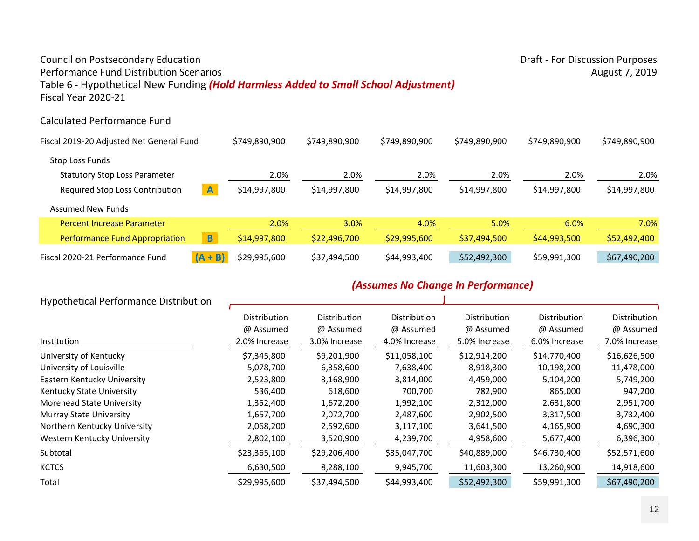# Council on Postsecondary Education **Draft - For Discussion Purposes** Draft - For Discussion Purposes

### Performance Fund Distribution ScenariosTable 6 ‐ Hypothetical New Funding *(Hold Harmless Added to Small School Adjustment)* Fiscal Year 2020‐21

### Calculated Performance Fund

| Fiscal 2019-20 Adjusted Net General Fund |                | \$749,890,900 | \$749,890,900 | \$749,890,900 | \$749,890,900 | \$749,890,900 | \$749,890,900 |
|------------------------------------------|----------------|---------------|---------------|---------------|---------------|---------------|---------------|
| Stop Loss Funds                          |                |               |               |               |               |               |               |
| <b>Statutory Stop Loss Parameter</b>     |                | 2.0%          | 2.0%          | 2.0%          | 2.0%          | 2.0%          | 2.0%          |
| Required Stop Loss Contribution          | $\overline{A}$ | \$14,997,800  | \$14,997,800  | \$14,997,800  | \$14,997,800  | \$14,997,800  | \$14,997,800  |
| <b>Assumed New Funds</b>                 |                |               |               |               |               |               |               |
| <b>Percent Increase Parameter</b>        |                | 2.0%          | 3.0%          | 4.0%          | 5.0%          | 6.0%          | 7.0%          |
| <b>Performance Fund Appropriation</b>    | $\overline{B}$ | \$14,997,800  | \$22,496,700  | \$29,995,600  | \$37,494,500  | \$44,993,500  | \$52,492,400  |
| Fiscal 2020-21 Performance Fund          | $(A + B)$      | \$29,995,600  | \$37,494,500  | \$44,993,400  | \$52,492,300  | \$59,991,300  | \$67,490,200  |

# *(Assumes No Change In Performance)*

| <b>Hypothetical Performance Distribution</b> |                                                   |                                                   |                                            |                                            |                                            |                                                   |
|----------------------------------------------|---------------------------------------------------|---------------------------------------------------|--------------------------------------------|--------------------------------------------|--------------------------------------------|---------------------------------------------------|
| Institution                                  | <b>Distribution</b><br>@ Assumed<br>2.0% Increase | <b>Distribution</b><br>@ Assumed<br>3.0% Increase | Distribution<br>@ Assumed<br>4.0% Increase | Distribution<br>@ Assumed<br>5.0% Increase | Distribution<br>@ Assumed<br>6.0% Increase | <b>Distribution</b><br>@ Assumed<br>7.0% Increase |
| University of Kentucky                       | \$7,345,800                                       | \$9,201,900                                       | \$11,058,100                               | \$12,914,200                               | \$14,770,400                               | \$16,626,500                                      |
| University of Louisville                     | 5,078,700                                         | 6,358,600                                         | 7,638,400                                  | 8,918,300                                  | 10,198,200                                 | 11,478,000                                        |
| Eastern Kentucky University                  | 2,523,800                                         | 3,168,900                                         | 3,814,000                                  | 4,459,000                                  | 5,104,200                                  | 5,749,200                                         |
| Kentucky State University                    | 536,400                                           | 618,600                                           | 700,700                                    | 782,900                                    | 865,000                                    | 947,200                                           |
| Morehead State University                    | 1,352,400                                         | 1,672,200                                         | 1,992,100                                  | 2,312,000                                  | 2,631,800                                  | 2,951,700                                         |
| <b>Murray State University</b>               | 1,657,700                                         | 2,072,700                                         | 2,487,600                                  | 2,902,500                                  | 3,317,500                                  | 3,732,400                                         |
| Northern Kentucky University                 | 2,068,200                                         | 2,592,600                                         | 3,117,100                                  | 3,641,500                                  | 4,165,900                                  | 4,690,300                                         |
| Western Kentucky University                  | 2,802,100                                         | 3,520,900                                         | 4,239,700                                  | 4,958,600                                  | 5,677,400                                  | 6,396,300                                         |
| Subtotal                                     | \$23,365,100                                      | \$29,206,400                                      | \$35,047,700                               | \$40,889,000                               | \$46,730,400                               | \$52,571,600                                      |
| <b>KCTCS</b>                                 | 6,630,500                                         | 8,288,100                                         | 9,945,700                                  | 11,603,300                                 | 13,260,900                                 | 14,918,600                                        |
| Total                                        | \$29,995,600                                      | \$37,494,500                                      | \$44,993,400                               | \$52,492,300                               | \$59,991,300                               | \$67,490,200                                      |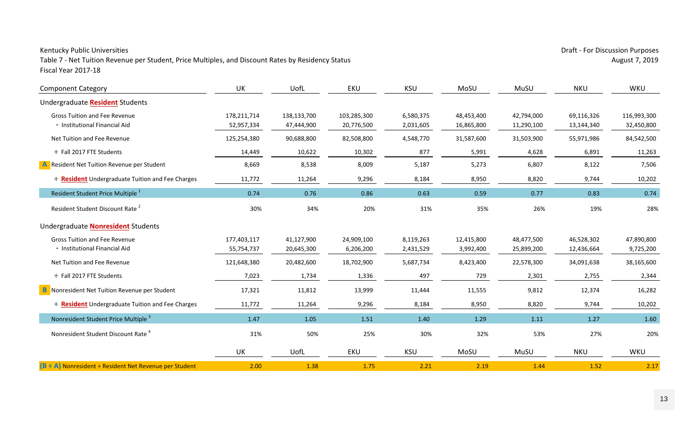Table 7 - Net Tuition Revenue per Student, Price Multiples, and Discount Rates by Residency Status August 7, 2019 Fiscal Year 2017‐18

| <b>Component Category</b>                               | UK          | UofL        | EKU         | <b>KSU</b> | MoSU       | MuSU       | <b>NKU</b> | WKU         |
|---------------------------------------------------------|-------------|-------------|-------------|------------|------------|------------|------------|-------------|
| Undergraduate Resident Students                         |             |             |             |            |            |            |            |             |
| <b>Gross Tuition and Fee Revenue</b>                    | 178,211,714 | 138,133,700 | 103,285,300 | 6,580,375  | 48,453,400 | 42,794,000 | 69,116,326 | 116,993,300 |
| - Institutional Financial Aid                           | 52,957,334  | 47,444,900  | 20,776,500  | 2,031,605  | 16,865,800 | 11,290,100 | 13,144,340 | 32,450,800  |
| Net Tuition and Fee Revenue                             | 125,254,380 | 90,688,800  | 82,508,800  | 4,548,770  | 31,587,600 | 31,503,900 | 55,971,986 | 84,542,500  |
| ÷ Fall 2017 FTE Students                                | 14,449      | 10,622      | 10,302      | 877        | 5,991      | 4,628      | 6,891      | 11,263      |
| A Resident Net Tuition Revenue per Student              | 8,669       | 8,538       | 8,009       | 5,187      | 5,273      | 6,807      | 8,122      | 7,506       |
| <b>÷ Resident</b> Undergraduate Tuition and Fee Charges | 11,772      | 11,264      | 9,296       | 8,184      | 8,950      | 8,820      | 9,744      | 10,202      |
| Resident Student Price Multiple <sup>1</sup>            | 0.74        | 0.76        | 0.86        | 0.63       | 0.59       | 0.77       | 0.83       | 0.74        |
| Resident Student Discount Rate <sup>2</sup>             | 30%         | 34%         | 20%         | 31%        | 35%        | 26%        | 19%        | 28%         |
| Undergraduate <b>Nonresident</b> Students               |             |             |             |            |            |            |            |             |
| <b>Gross Tuition and Fee Revenue</b>                    | 177,403,117 | 41,127,900  | 24,909,100  | 8,119,263  | 12,415,800 | 48,477,500 | 46,528,302 | 47,890,800  |
| - Institutional Financial Aid                           | 55,754,737  | 20,645,300  | 6,206,200   | 2,431,529  | 3,992,400  | 25,899,200 | 12,436,664 | 9,725,200   |
| Net Tuition and Fee Revenue                             | 121,648,380 | 20,482,600  | 18,702,900  | 5,687,734  | 8,423,400  | 22,578,300 | 34,091,638 | 38,165,600  |
| ÷ Fall 2017 FTE Students                                | 7,023       | 1,734       | 1,336       | 497        | 729        | 2,301      | 2,755      | 2,344       |
| <b>B</b> Nonresident Net Tuition Revenue per Student    | 17,321      | 11,812      | 13,999      | 11,444     | 11,555     | 9,812      | 12,374     | 16,282      |
| ÷ Resident Undergraduate Tuition and Fee Charges        | 11,772      | 11,264      | 9,296       | 8,184      | 8,950      | 8,820      | 9,744      | 10,202      |
| Nonresident Student Price Multiple <sup>3</sup>         | 1.47        | 1.05        | 1.51        | 1.40       | 1.29       | 1.11       | 1.27       | 1.60        |
| Nonresident Student Discount Rate <sup>4</sup>          | 31%         | 50%         | 25%         | 30%        | 32%        | 53%        | 27%        | 20%         |
|                                                         | UK          | UofL        | EKU         | <b>KSU</b> | MoSU       | MuSU       | <b>NKU</b> | WKU         |
| (B + A) Nonresident + Resident Net Revenue per Student  | 2.00        | 1.38        | 1.75        | 2.21       | 2.19       | 1.44       | 1.52       | 2.17        |

Kentucky Public Universities **Exercise Exercise Exercise** Draft - For Discussion Purposes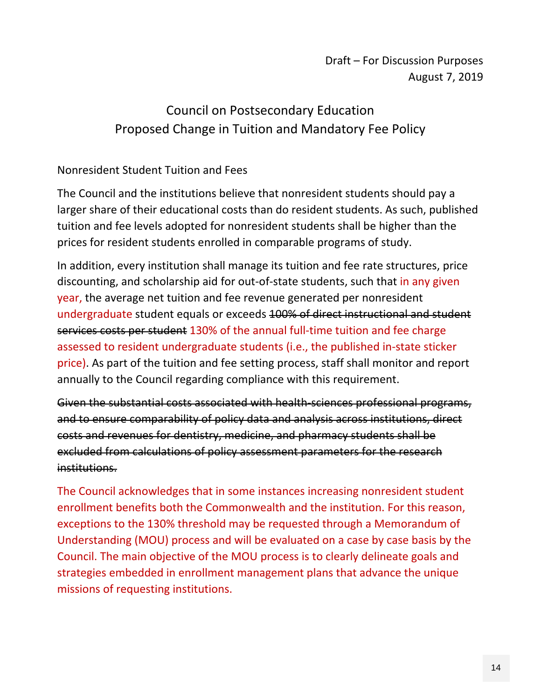# Draft – For Discussion Purposes August 7, 2019

# Council on Postsecondary Education Proposed Change in Tuition and Mandatory Fee Policy

# Nonresident Student Tuition and Fees

The Council and the institutions believe that nonresident students should pay a larger share of their educational costs than do resident students. As such, published tuition and fee levels adopted for nonresident students shall be higher than the prices for resident students enrolled in comparable programs of study.

In addition, every institution shall manage its tuition and fee rate structures, price discounting, and scholarship aid for out-of-state students, such that in any given year, the average net tuition and fee revenue generated per nonresident undergraduate student equals or exceeds 100% of direct instructional and student services costs per student 130% of the annual full-time tuition and fee charge assessed to resident undergraduate students (i.e., the published in‐state sticker price). As part of the tuition and fee setting process, staff shall monitor and report annually to the Council regarding compliance with this requirement.

Given the substantial costs associated with health-sciences professional programs, and to ensure comparability of policy data and analysis across institutions, direct costs and revenues for dentistry, medicine, and pharmacy students shall be excluded from calculations of policy assessment parameters for the research institutions.

The Council acknowledges that in some instances increasing nonresident student enrollment benefits both the Commonwealth and the institution. For this reason, exceptions to the 130% threshold may be requested through a Memorandum of Understanding (MOU) process and will be evaluated on a case by case basis by the Council. The main objective of the MOU process is to clearly delineate goals and strategies embedded in enrollment management plans that advance the unique missions of requesting institutions.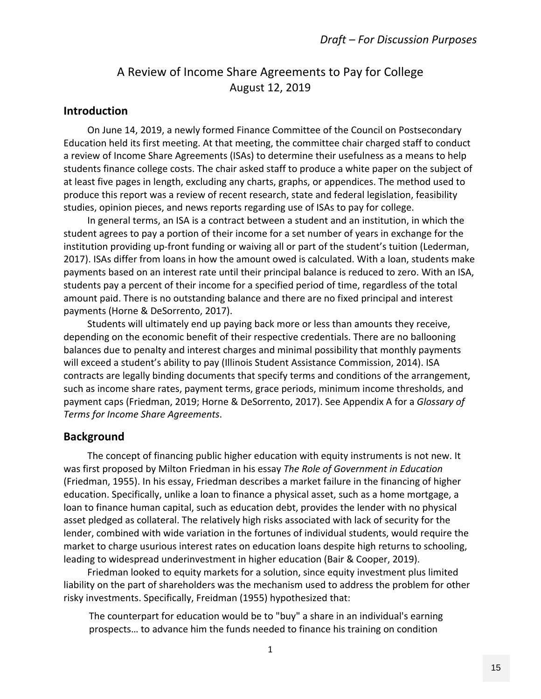# A Review of Income Share Agreements to Pay for College August 12, 2019

### **Introduction**

 On June 14, 2019, a newly formed Finance Committee of the Council on Postsecondary Education held its first meeting. At that meeting, the committee chair charged staff to conduct a review of Income Share Agreements (ISAs) to determine their usefulness as a means to help students finance college costs. The chair asked staff to produce a white paper on the subject of at least five pages in length, excluding any charts, graphs, or appendices. The method used to produce this report was a review of recent research, state and federal legislation, feasibility studies, opinion pieces, and news reports regarding use of ISAs to pay for college.

 In general terms, an ISA is a contract between a student and an institution, in which the student agrees to pay a portion of their income for a set number of years in exchange for the institution providing up‐front funding or waiving all or part of the student's tuition (Lederman, 2017). ISAs differ from loans in how the amount owed is calculated. With a loan, students make payments based on an interest rate until their principal balance is reduced to zero. With an ISA, students pay a percent of their income for a specified period of time, regardless of the total amount paid. There is no outstanding balance and there are no fixed principal and interest payments (Horne & DeSorrento, 2017).

 Students will ultimately end up paying back more or less than amounts they receive, depending on the economic benefit of their respective credentials. There are no ballooning balances due to penalty and interest charges and minimal possibility that monthly payments will exceed a student's ability to pay (Illinois Student Assistance Commission, 2014). ISA contracts are legally binding documents that specify terms and conditions of the arrangement, such as income share rates, payment terms, grace periods, minimum income thresholds, and payment caps (Friedman, 2019; Horne & DeSorrento, 2017). See Appendix A for a *Glossary of Terms for Income Share Agreements*.

### **Background**

 The concept of financing public higher education with equity instruments is not new. It was first proposed by Milton Friedman in his essay *The Role of Government in Education* (Friedman, 1955). In his essay, Friedman describes a market failure in the financing of higher education. Specifically, unlike a loan to finance a physical asset, such as a home mortgage, a loan to finance human capital, such as education debt, provides the lender with no physical asset pledged as collateral. The relatively high risks associated with lack of security for the lender, combined with wide variation in the fortunes of individual students, would require the market to charge usurious interest rates on education loans despite high returns to schooling, leading to widespread underinvestment in higher education (Bair & Cooper, 2019).

 Friedman looked to equity markets for a solution, since equity investment plus limited liability on the part of shareholders was the mechanism used to address the problem for other risky investments. Specifically, Freidman (1955) hypothesized that:

The counterpart for education would be to "buy" a share in an individual's earning prospects… to advance him the funds needed to finance his training on condition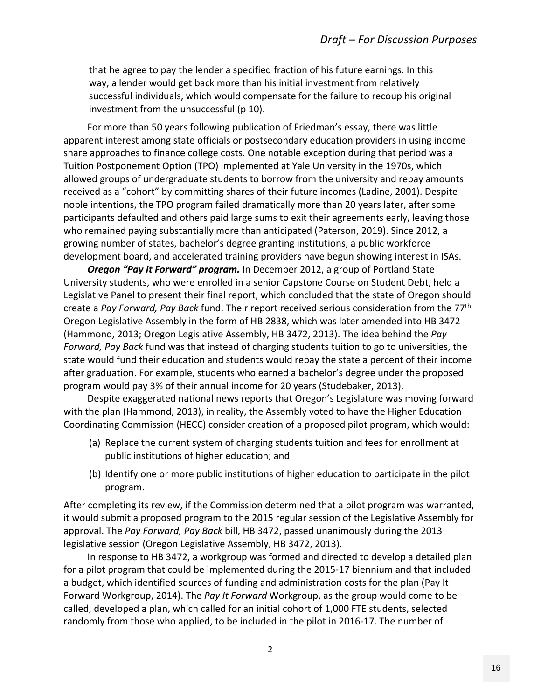that he agree to pay the lender a specified fraction of his future earnings. In this way, a lender would get back more than his initial investment from relatively successful individuals, which would compensate for the failure to recoup his original investment from the unsuccessful (p 10).

 For more than 50 years following publication of Friedman's essay, there was little apparent interest among state officials or postsecondary education providers in using income share approaches to finance college costs. One notable exception during that period was a Tuition Postponement Option (TPO) implemented at Yale University in the 1970s, which allowed groups of undergraduate students to borrow from the university and repay amounts received as a "cohort" by committing shares of their future incomes (Ladine, 2001). Despite noble intentions, the TPO program failed dramatically more than 20 years later, after some participants defaulted and others paid large sums to exit their agreements early, leaving those who remained paying substantially more than anticipated (Paterson, 2019). Since 2012, a growing number of states, bachelor's degree granting institutions, a public workforce development board, and accelerated training providers have begun showing interest in ISAs.

*Oregon "Pay It Forward" program.* In December 2012, a group of Portland State University students, who were enrolled in a senior Capstone Course on Student Debt, held a Legislative Panel to present their final report, which concluded that the state of Oregon should create a *Pay Forward, Pay Back* fund. Their report received serious consideration from the 77th Oregon Legislative Assembly in the form of HB 2838, which was later amended into HB 3472 (Hammond, 2013; Oregon Legislative Assembly, HB 3472, 2013). The idea behind the *Pay Forward, Pay Back* fund was that instead of charging students tuition to go to universities, the state would fund their education and students would repay the state a percent of their income after graduation. For example, students who earned a bachelor's degree under the proposed program would pay 3% of their annual income for 20 years (Studebaker, 2013).

 Despite exaggerated national news reports that Oregon's Legislature was moving forward with the plan (Hammond, 2013), in reality, the Assembly voted to have the Higher Education Coordinating Commission (HECC) consider creation of a proposed pilot program, which would:

- (a) Replace the current system of charging students tuition and fees for enrollment at public institutions of higher education; and
- (b) Identify one or more public institutions of higher education to participate in the pilot program.

After completing its review, if the Commission determined that a pilot program was warranted, it would submit a proposed program to the 2015 regular session of the Legislative Assembly for approval. The *Pay Forward, Pay Back* bill, HB 3472, passed unanimously during the 2013 legislative session (Oregon Legislative Assembly, HB 3472, 2013).

 In response to HB 3472, a workgroup was formed and directed to develop a detailed plan for a pilot program that could be implemented during the 2015‐17 biennium and that included a budget, which identified sources of funding and administration costs for the plan (Pay It Forward Workgroup, 2014). The *Pay It Forward* Workgroup, as the group would come to be called, developed a plan, which called for an initial cohort of 1,000 FTE students, selected randomly from those who applied, to be included in the pilot in 2016‐17. The number of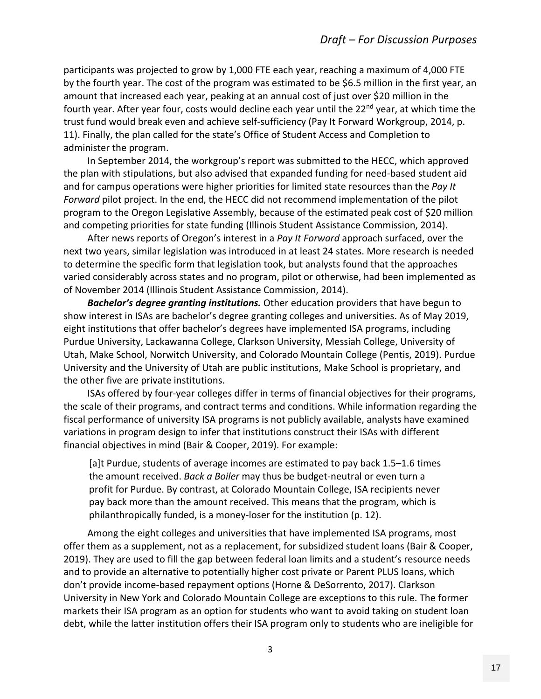participants was projected to grow by 1,000 FTE each year, reaching a maximum of 4,000 FTE by the fourth year. The cost of the program was estimated to be \$6.5 million in the first year, an amount that increased each year, peaking at an annual cost of just over \$20 million in the fourth year. After year four, costs would decline each year until the 22<sup>nd</sup> year, at which time the trust fund would break even and achieve self‐sufficiency (Pay It Forward Workgroup, 2014, p. 11). Finally, the plan called for the state's Office of Student Access and Completion to administer the program.

 In September 2014, the workgroup's report was submitted to the HECC, which approved the plan with stipulations, but also advised that expanded funding for need‐based student aid and for campus operations were higher priorities for limited state resources than the *Pay It Forward* pilot project. In the end, the HECC did not recommend implementation of the pilot program to the Oregon Legislative Assembly, because of the estimated peak cost of \$20 million and competing priorities for state funding (Illinois Student Assistance Commission, 2014).

 After news reports of Oregon's interest in a *Pay It Forward* approach surfaced, over the next two years, similar legislation was introduced in at least 24 states. More research is needed to determine the specific form that legislation took, but analysts found that the approaches varied considerably across states and no program, pilot or otherwise, had been implemented as of November 2014 (Illinois Student Assistance Commission, 2014).

 *Bachelor's degree granting institutions.* Other education providers that have begun to show interest in ISAs are bachelor's degree granting colleges and universities. As of May 2019, eight institutions that offer bachelor's degrees have implemented ISA programs, including Purdue University, Lackawanna College, Clarkson University, Messiah College, University of Utah, Make School, Norwitch University, and Colorado Mountain College (Pentis, 2019). Purdue University and the University of Utah are public institutions, Make School is proprietary, and the other five are private institutions.

 ISAs offered by four‐year colleges differ in terms of financial objectives for their programs, the scale of their programs, and contract terms and conditions. While information regarding the fiscal performance of university ISA programs is not publicly available, analysts have examined variations in program design to infer that institutions construct their ISAs with different financial objectives in mind (Bair & Cooper, 2019). For example:

[a]t Purdue, students of average incomes are estimated to pay back 1.5–1.6 times the amount received. *Back a Boiler* may thus be budget‐neutral or even turn a profit for Purdue. By contrast, at Colorado Mountain College, ISA recipients never pay back more than the amount received. This means that the program, which is philanthropically funded, is a money‐loser for the institution (p. 12).

 Among the eight colleges and universities that have implemented ISA programs, most offer them as a supplement, not as a replacement, for subsidized student loans (Bair & Cooper, 2019). They are used to fill the gap between federal loan limits and a student's resource needs and to provide an alternative to potentially higher cost private or Parent PLUS loans, which don't provide income‐based repayment options (Horne & DeSorrento, 2017). Clarkson University in New York and Colorado Mountain College are exceptions to this rule. The former markets their ISA program as an option for students who want to avoid taking on student loan debt, while the latter institution offers their ISA program only to students who are ineligible for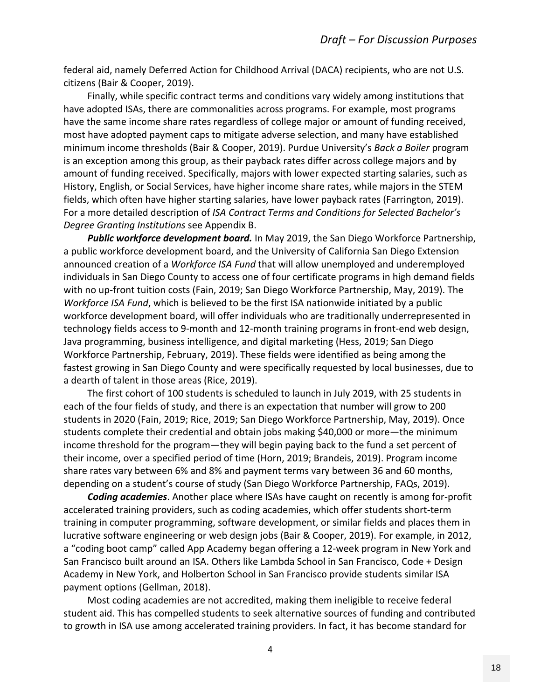federal aid, namely Deferred Action for Childhood Arrival (DACA) recipients, who are not U.S. citizens (Bair & Cooper, 2019).

 Finally, while specific contract terms and conditions vary widely among institutions that have adopted ISAs, there are commonalities across programs. For example, most programs have the same income share rates regardless of college major or amount of funding received, most have adopted payment caps to mitigate adverse selection, and many have established minimum income thresholds (Bair & Cooper, 2019). Purdue University's *Back a Boiler* program is an exception among this group, as their payback rates differ across college majors and by amount of funding received. Specifically, majors with lower expected starting salaries, such as History, English, or Social Services, have higher income share rates, while majors in the STEM fields, which often have higher starting salaries, have lower payback rates (Farrington, 2019). For a more detailed description of *ISA Contract Terms and Conditions for Selected Bachelor's Degree Granting Institutions* see Appendix B.

*Public workforce development board.* In May 2019, the San Diego Workforce Partnership, a public workforce development board, and the University of California San Diego Extension announced creation of a *Workforce ISA Fund* that will allow unemployed and underemployed individuals in San Diego County to access one of four certificate programs in high demand fields with no up-front tuition costs (Fain, 2019; San Diego Workforce Partnership, May, 2019). The *Workforce ISA Fund*, which is believed to be the first ISA nationwide initiated by a public workforce development board, will offer individuals who are traditionally underrepresented in technology fields access to 9‐month and 12‐month training programs in front‐end web design, Java programming, business intelligence, and digital marketing (Hess, 2019; San Diego Workforce Partnership, February, 2019). These fields were identified as being among the fastest growing in San Diego County and were specifically requested by local businesses, due to a dearth of talent in those areas (Rice, 2019).

 The first cohort of 100 students is scheduled to launch in July 2019, with 25 students in each of the four fields of study, and there is an expectation that number will grow to 200 students in 2020 (Fain, 2019; Rice, 2019; San Diego Workforce Partnership, May, 2019). Once students complete their credential and obtain jobs making \$40,000 or more—the minimum income threshold for the program—they will begin paying back to the fund a set percent of their income, over a specified period of time (Horn, 2019; Brandeis, 2019). Program income share rates vary between 6% and 8% and payment terms vary between 36 and 60 months, depending on a student's course of study (San Diego Workforce Partnership, FAQs, 2019).

*Coding academies*. Another place where ISAs have caught on recently is among for‐profit accelerated training providers, such as coding academies, which offer students short-term training in computer programming, software development, or similar fields and places them in lucrative software engineering or web design jobs (Bair & Cooper, 2019). For example, in 2012, a "coding boot camp" called App Academy began offering a 12‐week program in New York and San Francisco built around an ISA. Others like Lambda School in San Francisco, Code + Design Academy in New York, and Holberton School in San Francisco provide students similar ISA payment options (Gellman, 2018).

 Most coding academies are not accredited, making them ineligible to receive federal student aid. This has compelled students to seek alternative sources of funding and contributed to growth in ISA use among accelerated training providers. In fact, it has become standard for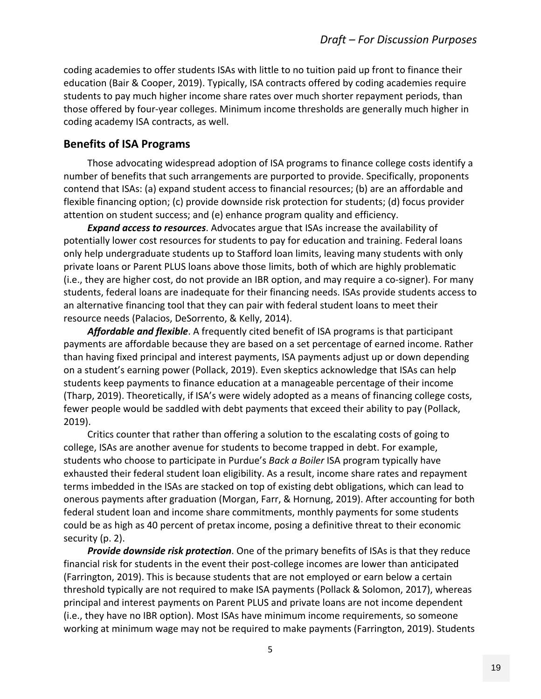coding academies to offer students ISAs with little to no tuition paid up front to finance their education (Bair & Cooper, 2019). Typically, ISA contracts offered by coding academies require students to pay much higher income share rates over much shorter repayment periods, than those offered by four‐year colleges. Minimum income thresholds are generally much higher in coding academy ISA contracts, as well.

### **Benefits of ISA Programs**

 Those advocating widespread adoption of ISA programs to finance college costs identify a number of benefits that such arrangements are purported to provide. Specifically, proponents contend that ISAs: (a) expand student access to financial resources; (b) are an affordable and flexible financing option; (c) provide downside risk protection for students; (d) focus provider attention on student success; and (e) enhance program quality and efficiency.

 *Expand access to resources*. Advocates argue that ISAs increase the availability of potentially lower cost resources for students to pay for education and training. Federal loans only help undergraduate students up to Stafford loan limits, leaving many students with only private loans or Parent PLUS loans above those limits, both of which are highly problematic (i.e., they are higher cost, do not provide an IBR option, and may require a co‐signer). For many students, federal loans are inadequate for their financing needs. ISAs provide students access to an alternative financing tool that they can pair with federal student loans to meet their resource needs (Palacios, DeSorrento, & Kelly, 2014).

*Affordable and flexible*. A frequently cited benefit of ISA programs is that participant payments are affordable because they are based on a set percentage of earned income. Rather than having fixed principal and interest payments, ISA payments adjust up or down depending on a student's earning power (Pollack, 2019). Even skeptics acknowledge that ISAs can help students keep payments to finance education at a manageable percentage of their income (Tharp, 2019). Theoretically, if ISA's were widely adopted as a means of financing college costs, fewer people would be saddled with debt payments that exceed their ability to pay (Pollack, 2019).

 Critics counter that rather than offering a solution to the escalating costs of going to college, ISAs are another avenue for students to become trapped in debt. For example, students who choose to participate in Purdue's *Back a Boiler* ISA program typically have exhausted their federal student loan eligibility. As a result, income share rates and repayment terms imbedded in the ISAs are stacked on top of existing debt obligations, which can lead to onerous payments after graduation (Morgan, Farr, & Hornung, 2019). After accounting for both federal student loan and income share commitments, monthly payments for some students could be as high as 40 percent of pretax income, posing a definitive threat to their economic security (p. 2).

*Provide downside risk protection*. One of the primary benefits of ISAs is that they reduce financial risk for students in the event their post-college incomes are lower than anticipated (Farrington, 2019). This is because students that are not employed or earn below a certain threshold typically are not required to make ISA payments (Pollack & Solomon, 2017), whereas principal and interest payments on Parent PLUS and private loans are not income dependent (i.e., they have no IBR option). Most ISAs have minimum income requirements, so someone working at minimum wage may not be required to make payments (Farrington, 2019). Students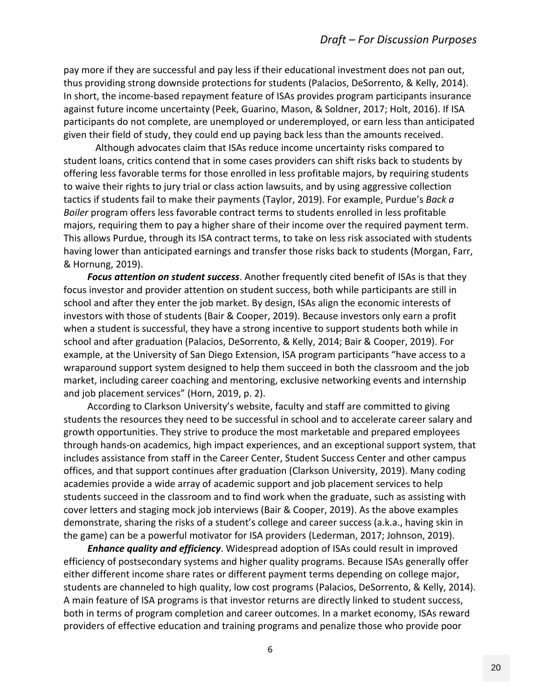pay more if they are successful and pay less if their educational investment does not pan out, thus providing strong downside protections for students (Palacios, DeSorrento, & Kelly, 2014). In short, the income‐based repayment feature of ISAs provides program participants insurance against future income uncertainty (Peek, Guarino, Mason, & Soldner, 2017; Holt, 2016). If ISA participants do not complete, are unemployed or underemployed, or earn less than anticipated given their field of study, they could end up paying back less than the amounts received.

 Although advocates claim that ISAs reduce income uncertainty risks compared to student loans, critics contend that in some cases providers can shift risks back to students by offering less favorable terms for those enrolled in less profitable majors, by requiring students to waive their rights to jury trial or class action lawsuits, and by using aggressive collection tactics if students fail to make their payments (Taylor, 2019). For example, Purdue's *Back a Boiler* program offers less favorable contract terms to students enrolled in less profitable majors, requiring them to pay a higher share of their income over the required payment term. This allows Purdue, through its ISA contract terms, to take on less risk associated with students having lower than anticipated earnings and transfer those risks back to students (Morgan, Farr, & Hornung, 2019).

 *Focus attention on student success*. Another frequently cited benefit of ISAs is that they focus investor and provider attention on student success, both while participants are still in school and after they enter the job market. By design, ISAs align the economic interests of investors with those of students (Bair & Cooper, 2019). Because investors only earn a profit when a student is successful, they have a strong incentive to support students both while in school and after graduation (Palacios, DeSorrento, & Kelly, 2014; Bair & Cooper, 2019). For example, at the University of San Diego Extension, ISA program participants "have access to a wraparound support system designed to help them succeed in both the classroom and the job market, including career coaching and mentoring, exclusive networking events and internship and job placement services" (Horn, 2019, p. 2).

 According to Clarkson University's website, faculty and staff are committed to giving students the resources they need to be successful in school and to accelerate career salary and growth opportunities. They strive to produce the most marketable and prepared employees through hands‐on academics, high impact experiences, and an exceptional support system, that includes assistance from staff in the Career Center, Student Success Center and other campus offices, and that support continues after graduation (Clarkson University, 2019). Many coding academies provide a wide array of academic support and job placement services to help students succeed in the classroom and to find work when the graduate, such as assisting with cover letters and staging mock job interviews (Bair & Cooper, 2019). As the above examples demonstrate, sharing the risks of a student's college and career success (a.k.a., having skin in the game) can be a powerful motivator for ISA providers (Lederman, 2017; Johnson, 2019).

*Enhance quality and efficiency*. Widespread adoption of ISAs could result in improved efficiency of postsecondary systems and higher quality programs. Because ISAs generally offer either different income share rates or different payment terms depending on college major, students are channeled to high quality, low cost programs (Palacios, DeSorrento, & Kelly, 2014). A main feature of ISA programs is that investor returns are directly linked to student success, both in terms of program completion and career outcomes. In a market economy, ISAs reward providers of effective education and training programs and penalize those who provide poor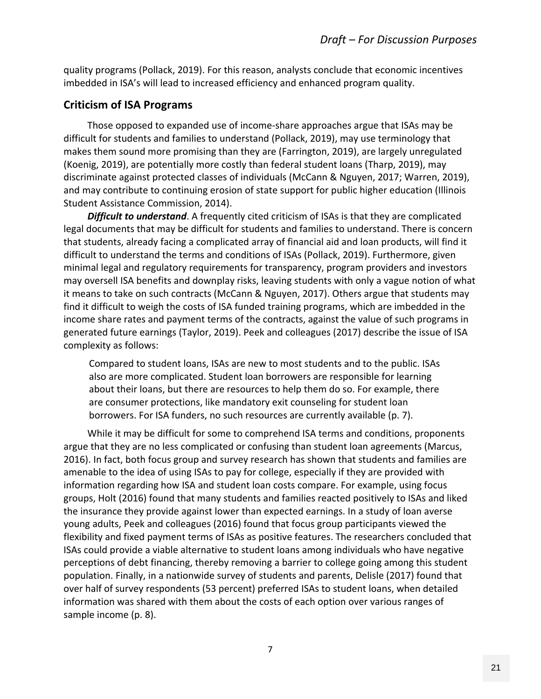quality programs (Pollack, 2019). For this reason, analysts conclude that economic incentives imbedded in ISA's will lead to increased efficiency and enhanced program quality.

# **Criticism of ISA Programs**

 Those opposed to expanded use of income‐share approaches argue that ISAs may be difficult for students and families to understand (Pollack, 2019), may use terminology that makes them sound more promising than they are (Farrington, 2019), are largely unregulated (Koenig, 2019), are potentially more costly than federal student loans (Tharp, 2019), may discriminate against protected classes of individuals (McCann & Nguyen, 2017; Warren, 2019), and may contribute to continuing erosion of state support for public higher education (Illinois Student Assistance Commission, 2014).

*Difficult to understand*. A frequently cited criticism of ISAs is that they are complicated legal documents that may be difficult for students and families to understand. There is concern that students, already facing a complicated array of financial aid and loan products, will find it difficult to understand the terms and conditions of ISAs (Pollack, 2019). Furthermore, given minimal legal and regulatory requirements for transparency, program providers and investors may oversell ISA benefits and downplay risks, leaving students with only a vague notion of what it means to take on such contracts (McCann & Nguyen, 2017). Others argue that students may find it difficult to weigh the costs of ISA funded training programs, which are imbedded in the income share rates and payment terms of the contracts, against the value of such programs in generated future earnings (Taylor, 2019). Peek and colleagues (2017) describe the issue of ISA complexity as follows:

Compared to student loans, ISAs are new to most students and to the public. ISAs also are more complicated. Student loan borrowers are responsible for learning about their loans, but there are resources to help them do so. For example, there are consumer protections, like mandatory exit counseling for student loan borrowers. For ISA funders, no such resources are currently available (p. 7).

 While it may be difficult for some to comprehend ISA terms and conditions, proponents argue that they are no less complicated or confusing than student loan agreements (Marcus, 2016). In fact, both focus group and survey research has shown that students and families are amenable to the idea of using ISAs to pay for college, especially if they are provided with information regarding how ISA and student loan costs compare. For example, using focus groups, Holt (2016) found that many students and families reacted positively to ISAs and liked the insurance they provide against lower than expected earnings. In a study of loan averse young adults, Peek and colleagues (2016) found that focus group participants viewed the flexibility and fixed payment terms of ISAs as positive features. The researchers concluded that ISAs could provide a viable alternative to student loans among individuals who have negative perceptions of debt financing, thereby removing a barrier to college going among this student population. Finally, in a nationwide survey of students and parents, Delisle (2017) found that over half of survey respondents (53 percent) preferred ISAs to student loans, when detailed information was shared with them about the costs of each option over various ranges of sample income (p. 8).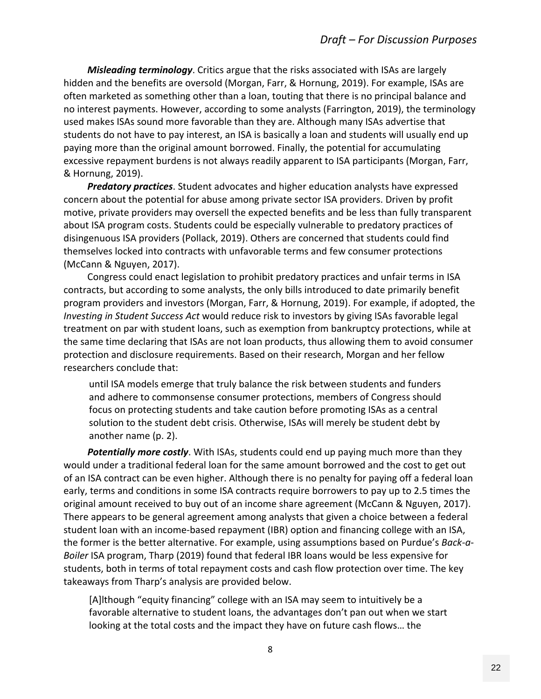*Misleading terminology*. Critics argue that the risks associated with ISAs are largely hidden and the benefits are oversold (Morgan, Farr, & Hornung, 2019). For example, ISAs are often marketed as something other than a loan, touting that there is no principal balance and no interest payments. However, according to some analysts (Farrington, 2019), the terminology used makes ISAs sound more favorable than they are. Although many ISAs advertise that students do not have to pay interest, an ISA is basically a loan and students will usually end up paying more than the original amount borrowed. Finally, the potential for accumulating excessive repayment burdens is not always readily apparent to ISA participants (Morgan, Farr, & Hornung, 2019).

 *Predatory practices*. Student advocates and higher education analysts have expressed concern about the potential for abuse among private sector ISA providers. Driven by profit motive, private providers may oversell the expected benefits and be less than fully transparent about ISA program costs. Students could be especially vulnerable to predatory practices of disingenuous ISA providers (Pollack, 2019). Others are concerned that students could find themselves locked into contracts with unfavorable terms and few consumer protections (McCann & Nguyen, 2017).

 Congress could enact legislation to prohibit predatory practices and unfair terms in ISA contracts, but according to some analysts, the only bills introduced to date primarily benefit program providers and investors (Morgan, Farr, & Hornung, 2019). For example, if adopted, the *Investing in Student Success Act* would reduce risk to investors by giving ISAs favorable legal treatment on par with student loans, such as exemption from bankruptcy protections, while at the same time declaring that ISAs are not loan products, thus allowing them to avoid consumer protection and disclosure requirements. Based on their research, Morgan and her fellow researchers conclude that:

until ISA models emerge that truly balance the risk between students and funders and adhere to commonsense consumer protections, members of Congress should focus on protecting students and take caution before promoting ISAs as a central solution to the student debt crisis. Otherwise, ISAs will merely be student debt by another name (p. 2).

*Potentially more costly*. With ISAs, students could end up paying much more than they would under a traditional federal loan for the same amount borrowed and the cost to get out of an ISA contract can be even higher. Although there is no penalty for paying off a federal loan early, terms and conditions in some ISA contracts require borrowers to pay up to 2.5 times the original amount received to buy out of an income share agreement (McCann & Nguyen, 2017). There appears to be general agreement among analysts that given a choice between a federal student loan with an income‐based repayment (IBR) option and financing college with an ISA, the former is the better alternative. For example, using assumptions based on Purdue's *Back‐a‐ Boiler* ISA program, Tharp (2019) found that federal IBR loans would be less expensive for students, both in terms of total repayment costs and cash flow protection over time. The key takeaways from Tharp's analysis are provided below.

[A]lthough "equity financing" college with an ISA may seem to intuitively be a favorable alternative to student loans, the advantages don't pan out when we start looking at the total costs and the impact they have on future cash flows… the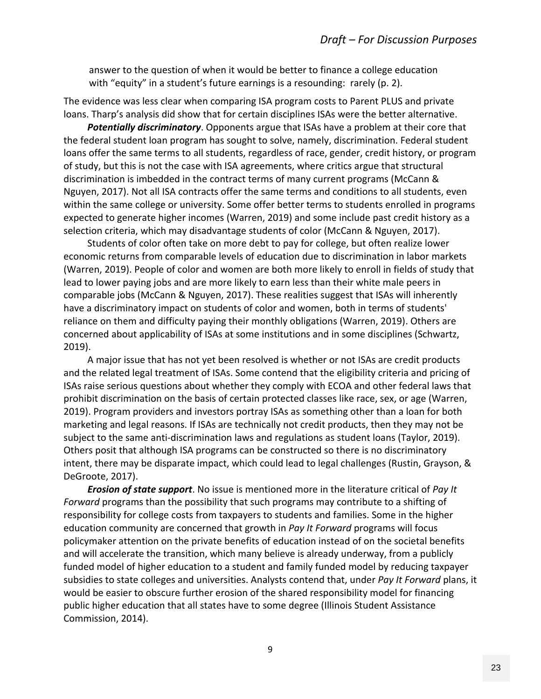answer to the question of when it would be better to finance a college education with "equity" in a student's future earnings is a resounding: rarely (p. 2).

The evidence was less clear when comparing ISA program costs to Parent PLUS and private loans. Tharp's analysis did show that for certain disciplines ISAs were the better alternative.

 *Potentially discriminatory*. Opponents argue that ISAs have a problem at their core that the federal student loan program has sought to solve, namely, discrimination. Federal student loans offer the same terms to all students, regardless of race, gender, credit history, or program of study, but this is not the case with ISA agreements, where critics argue that structural discrimination is imbedded in the contract terms of many current programs (McCann & Nguyen, 2017). Not all ISA contracts offer the same terms and conditions to all students, even within the same college or university. Some offer better terms to students enrolled in programs expected to generate higher incomes (Warren, 2019) and some include past credit history as a selection criteria, which may disadvantage students of color (McCann & Nguyen, 2017).

 Students of color often take on more debt to pay for college, but often realize lower economic returns from comparable levels of education due to discrimination in labor markets (Warren, 2019). People of color and women are both more likely to enroll in fields of study that lead to lower paying jobs and are more likely to earn less than their white male peers in comparable jobs (McCann & Nguyen, 2017). These realities suggest that ISAs will inherently have a discriminatory impact on students of color and women, both in terms of students' reliance on them and difficulty paying their monthly obligations (Warren, 2019). Others are concerned about applicability of ISAs at some institutions and in some disciplines (Schwartz, 2019).

 A major issue that has not yet been resolved is whether or not ISAs are credit products and the related legal treatment of ISAs. Some contend that the eligibility criteria and pricing of ISAs raise serious questions about whether they comply with ECOA and other federal laws that prohibit discrimination on the basis of certain protected classes like race, sex, or age (Warren, 2019). Program providers and investors portray ISAs as something other than a loan for both marketing and legal reasons. If ISAs are technically not credit products, then they may not be subject to the same anti‐discrimination laws and regulations as student loans (Taylor, 2019). Others posit that although ISA programs can be constructed so there is no discriminatory intent, there may be disparate impact, which could lead to legal challenges (Rustin, Grayson, & DeGroote, 2017).

*Erosion of state support*. No issue is mentioned more in the literature critical of *Pay It Forward* programs than the possibility that such programs may contribute to a shifting of responsibility for college costs from taxpayers to students and families. Some in the higher education community are concerned that growth in *Pay It Forward* programs will focus policymaker attention on the private benefits of education instead of on the societal benefits and will accelerate the transition, which many believe is already underway, from a publicly funded model of higher education to a student and family funded model by reducing taxpayer subsidies to state colleges and universities. Analysts contend that, under *Pay It Forward* plans, it would be easier to obscure further erosion of the shared responsibility model for financing public higher education that all states have to some degree (Illinois Student Assistance Commission, 2014).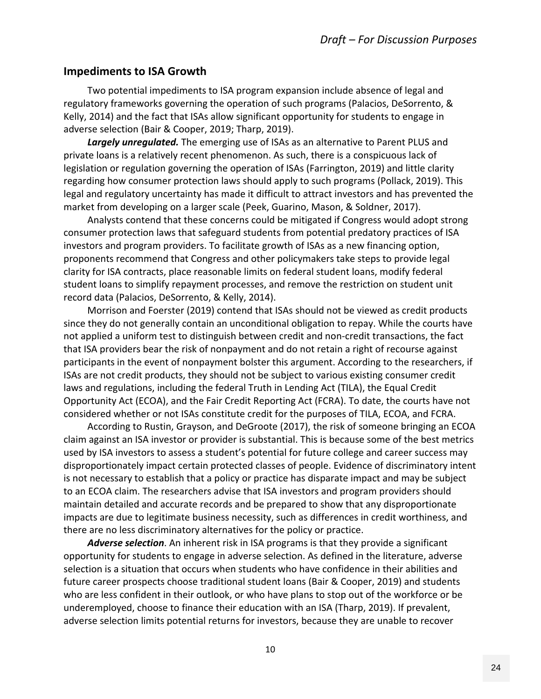### **Impediments to ISA Growth**

 Two potential impediments to ISA program expansion include absence of legal and regulatory frameworks governing the operation of such programs (Palacios, DeSorrento, & Kelly, 2014) and the fact that ISAs allow significant opportunity for students to engage in adverse selection (Bair & Cooper, 2019; Tharp, 2019).

*Largely unregulated.* The emerging use of ISAs as an alternative to Parent PLUS and private loans is a relatively recent phenomenon. As such, there is a conspicuous lack of legislation or regulation governing the operation of ISAs (Farrington, 2019) and little clarity regarding how consumer protection laws should apply to such programs (Pollack, 2019). This legal and regulatory uncertainty has made it difficult to attract investors and has prevented the market from developing on a larger scale (Peek, Guarino, Mason, & Soldner, 2017).

 Analysts contend that these concerns could be mitigated if Congress would adopt strong consumer protection laws that safeguard students from potential predatory practices of ISA investors and program providers. To facilitate growth of ISAs as a new financing option, proponents recommend that Congress and other policymakers take steps to provide legal clarity for ISA contracts, place reasonable limits on federal student loans, modify federal student loans to simplify repayment processes, and remove the restriction on student unit record data (Palacios, DeSorrento, & Kelly, 2014).

 Morrison and Foerster (2019) contend that ISAs should not be viewed as credit products since they do not generally contain an unconditional obligation to repay. While the courts have not applied a uniform test to distinguish between credit and non‐credit transactions, the fact that ISA providers bear the risk of nonpayment and do not retain a right of recourse against participants in the event of nonpayment bolster this argument. According to the researchers, if ISAs are not credit products, they should not be subject to various existing consumer credit laws and regulations, including the federal Truth in Lending Act (TILA), the Equal Credit Opportunity Act (ECOA), and the Fair Credit Reporting Act (FCRA). To date, the courts have not considered whether or not ISAs constitute credit for the purposes of TILA, ECOA, and FCRA.

 According to Rustin, Grayson, and DeGroote (2017), the risk of someone bringing an ECOA claim against an ISA investor or provider is substantial. This is because some of the best metrics used by ISA investors to assess a student's potential for future college and career success may disproportionately impact certain protected classes of people. Evidence of discriminatory intent is not necessary to establish that a policy or practice has disparate impact and may be subject to an ECOA claim. The researchers advise that ISA investors and program providers should maintain detailed and accurate records and be prepared to show that any disproportionate impacts are due to legitimate business necessity, such as differences in credit worthiness, and there are no less discriminatory alternatives for the policy or practice.

*Adverse selection*. An inherent risk in ISA programs is that they provide a significant opportunity for students to engage in adverse selection. As defined in the literature, adverse selection is a situation that occurs when students who have confidence in their abilities and future career prospects choose traditional student loans (Bair & Cooper, 2019) and students who are less confident in their outlook, or who have plans to stop out of the workforce or be underemployed, choose to finance their education with an ISA (Tharp, 2019). If prevalent, adverse selection limits potential returns for investors, because they are unable to recover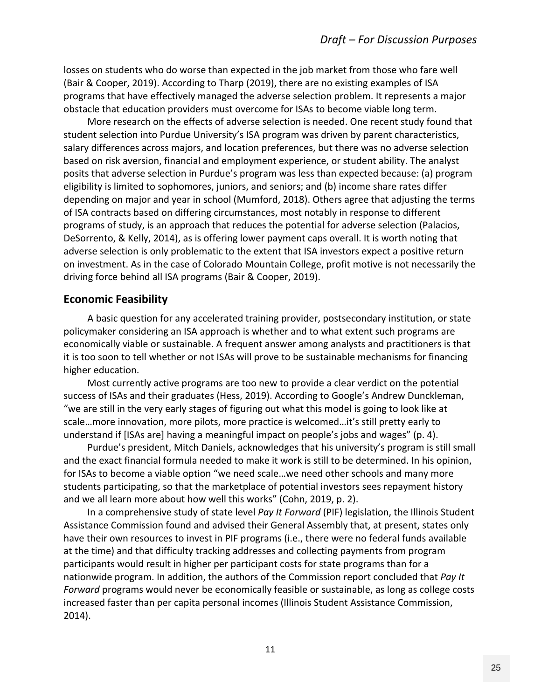losses on students who do worse than expected in the job market from those who fare well (Bair & Cooper, 2019). According to Tharp (2019), there are no existing examples of ISA programs that have effectively managed the adverse selection problem. It represents a major obstacle that education providers must overcome for ISAs to become viable long term.

 More research on the effects of adverse selection is needed. One recent study found that student selection into Purdue University's ISA program was driven by parent characteristics, salary differences across majors, and location preferences, but there was no adverse selection based on risk aversion, financial and employment experience, or student ability. The analyst posits that adverse selection in Purdue's program was less than expected because: (a) program eligibility is limited to sophomores, juniors, and seniors; and (b) income share rates differ depending on major and year in school (Mumford, 2018). Others agree that adjusting the terms of ISA contracts based on differing circumstances, most notably in response to different programs of study, is an approach that reduces the potential for adverse selection (Palacios, DeSorrento, & Kelly, 2014), as is offering lower payment caps overall. It is worth noting that adverse selection is only problematic to the extent that ISA investors expect a positive return on investment. As in the case of Colorado Mountain College, profit motive is not necessarily the driving force behind all ISA programs (Bair & Cooper, 2019).

### **Economic Feasibility**

 A basic question for any accelerated training provider, postsecondary institution, or state policymaker considering an ISA approach is whether and to what extent such programs are economically viable or sustainable. A frequent answer among analysts and practitioners is that it is too soon to tell whether or not ISAs will prove to be sustainable mechanisms for financing higher education.

 Most currently active programs are too new to provide a clear verdict on the potential success of ISAs and their graduates (Hess, 2019). According to Google's Andrew Dunckleman, "we are still in the very early stages of figuring out what this model is going to look like at scale…more innovation, more pilots, more practice is welcomed…it's still pretty early to understand if [ISAs are] having a meaningful impact on people's jobs and wages" (p. 4).

 Purdue's president, Mitch Daniels, acknowledges that his university's program is still small and the exact financial formula needed to make it work is still to be determined. In his opinion, for ISAs to become a viable option "we need scale…we need other schools and many more students participating, so that the marketplace of potential investors sees repayment history and we all learn more about how well this works" (Cohn, 2019, p. 2).

 In a comprehensive study of state level *Pay It Forward* (PIF) legislation, the Illinois Student Assistance Commission found and advised their General Assembly that, at present, states only have their own resources to invest in PIF programs (i.e., there were no federal funds available at the time) and that difficulty tracking addresses and collecting payments from program participants would result in higher per participant costs for state programs than for a nationwide program. In addition, the authors of the Commission report concluded that *Pay It Forward* programs would never be economically feasible or sustainable, as long as college costs increased faster than per capita personal incomes (Illinois Student Assistance Commission, 2014).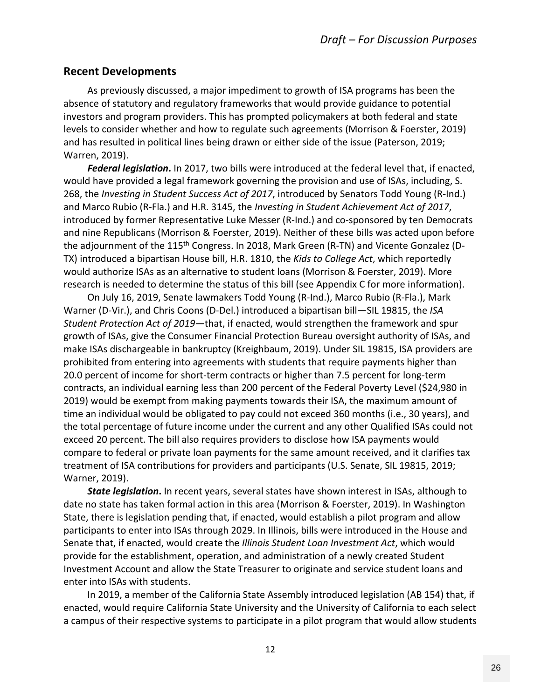### **Recent Developments**

 As previously discussed, a major impediment to growth of ISA programs has been the absence of statutory and regulatory frameworks that would provide guidance to potential investors and program providers. This has prompted policymakers at both federal and state levels to consider whether and how to regulate such agreements (Morrison & Foerster, 2019) and has resulted in political lines being drawn or either side of the issue (Paterson, 2019; Warren, 2019).

*Federal legislation***.** In 2017, two bills were introduced at the federal level that, if enacted, would have provided a legal framework governing the provision and use of ISAs, including, S. 268, the *Investing in Student Success Act of 2017*, introduced by Senators Todd Young (R‐Ind.) and Marco Rubio (R‐Fla.) and H.R. 3145, the *Investing in Student Achievement Act of 2017*, introduced by former Representative Luke Messer (R‐Ind.) and co‐sponsored by ten Democrats and nine Republicans (Morrison & Foerster, 2019). Neither of these bills was acted upon before the adjournment of the 115<sup>th</sup> Congress. In 2018, Mark Green (R-TN) and Vicente Gonzalez (D-TX) introduced a bipartisan House bill, H.R. 1810, the *Kids to College Act*, which reportedly would authorize ISAs as an alternative to student loans (Morrison & Foerster, 2019). More research is needed to determine the status of this bill (see Appendix C for more information).

 On July 16, 2019, Senate lawmakers Todd Young (R‐Ind.), Marco Rubio (R‐Fla.), Mark Warner (D‐Vir.), and Chris Coons (D‐Del.) introduced a bipartisan bill—SIL 19815, the *ISA Student Protection Act of 2019*—that, if enacted, would strengthen the framework and spur growth of ISAs, give the Consumer Financial Protection Bureau oversight authority of ISAs, and make ISAs dischargeable in bankruptcy (Kreighbaum, 2019). Under SIL 19815, ISA providers are prohibited from entering into agreements with students that require payments higher than 20.0 percent of income for short‐term contracts or higher than 7.5 percent for long‐term contracts, an individual earning less than 200 percent of the Federal Poverty Level (\$24,980 in 2019) would be exempt from making payments towards their ISA, the maximum amount of time an individual would be obligated to pay could not exceed 360 months (i.e., 30 years), and the total percentage of future income under the current and any other Qualified ISAs could not exceed 20 percent. The bill also requires providers to disclose how ISA payments would compare to federal or private loan payments for the same amount received, and it clarifies tax treatment of ISA contributions for providers and participants (U.S. Senate, SIL 19815, 2019; Warner, 2019).

*State legislation***.** In recent years, several states have shown interest in ISAs, although to date no state has taken formal action in this area (Morrison & Foerster, 2019). In Washington State, there is legislation pending that, if enacted, would establish a pilot program and allow participants to enter into ISAs through 2029. In Illinois, bills were introduced in the House and Senate that, if enacted, would create the *Illinois Student Loan Investment Act*, which would provide for the establishment, operation, and administration of a newly created Student Investment Account and allow the State Treasurer to originate and service student loans and enter into ISAs with students.

 In 2019, a member of the California State Assembly introduced legislation (AB 154) that, if enacted, would require California State University and the University of California to each select a campus of their respective systems to participate in a pilot program that would allow students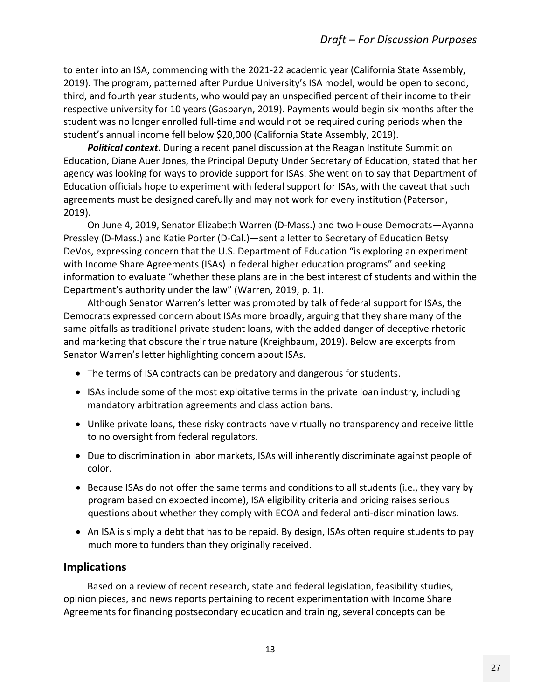to enter into an ISA, commencing with the 2021‐22 academic year (California State Assembly, 2019). The program, patterned after Purdue University's ISA model, would be open to second, third, and fourth year students, who would pay an unspecified percent of their income to their respective university for 10 years (Gasparyn, 2019). Payments would begin six months after the student was no longer enrolled full‐time and would not be required during periods when the student's annual income fell below \$20,000 (California State Assembly, 2019).

*Political context***.** During a recent panel discussion at the Reagan Institute Summit on Education, Diane Auer Jones, the Principal Deputy Under Secretary of Education, stated that her agency was looking for ways to provide support for ISAs. She went on to say that Department of Education officials hope to experiment with federal support for ISAs, with the caveat that such agreements must be designed carefully and may not work for every institution (Paterson, 2019).

 On June 4, 2019, Senator Elizabeth Warren (D‐Mass.) and two House Democrats—Ayanna Pressley (D‐Mass.) and Katie Porter (D‐Cal.)—sent a letter to Secretary of Education Betsy DeVos, expressing concern that the U.S. Department of Education "is exploring an experiment with Income Share Agreements (ISAs) in federal higher education programs" and seeking information to evaluate "whether these plans are in the best interest of students and within the Department's authority under the law" (Warren, 2019, p. 1).

 Although Senator Warren's letter was prompted by talk of federal support for ISAs, the Democrats expressed concern about ISAs more broadly, arguing that they share many of the same pitfalls as traditional private student loans, with the added danger of deceptive rhetoric and marketing that obscure their true nature (Kreighbaum, 2019). Below are excerpts from Senator Warren's letter highlighting concern about ISAs.

- The terms of ISA contracts can be predatory and dangerous for students.
- ISAs include some of the most exploitative terms in the private loan industry, including mandatory arbitration agreements and class action bans.
- Unlike private loans, these risky contracts have virtually no transparency and receive little to no oversight from federal regulators.
- Due to discrimination in labor markets, ISAs will inherently discriminate against people of color.
- Because ISAs do not offer the same terms and conditions to all students (i.e., they vary by program based on expected income), ISA eligibility criteria and pricing raises serious questions about whether they comply with ECOA and federal anti-discrimination laws.
- An ISA is simply a debt that has to be repaid. By design, ISAs often require students to pay much more to funders than they originally received.

### **Implications**

 Based on a review of recent research, state and federal legislation, feasibility studies, opinion pieces, and news reports pertaining to recent experimentation with Income Share Agreements for financing postsecondary education and training, several concepts can be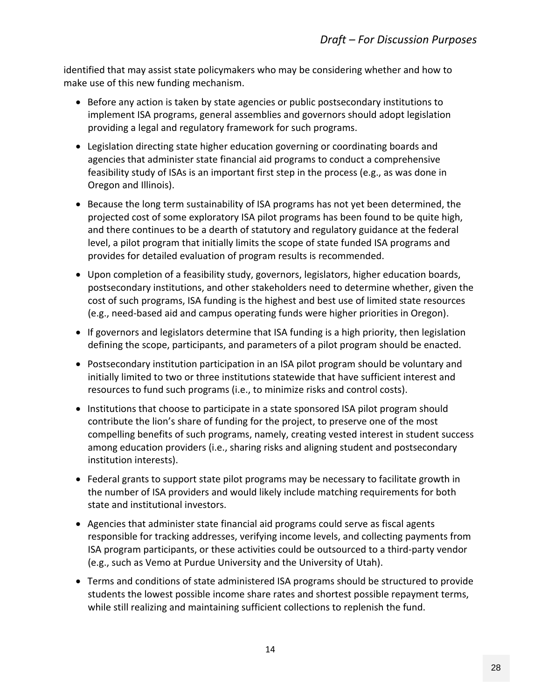identified that may assist state policymakers who may be considering whether and how to make use of this new funding mechanism.

- Before any action is taken by state agencies or public postsecondary institutions to implement ISA programs, general assemblies and governors should adopt legislation providing a legal and regulatory framework for such programs.
- Legislation directing state higher education governing or coordinating boards and agencies that administer state financial aid programs to conduct a comprehensive feasibility study of ISAs is an important first step in the process (e.g., as was done in Oregon and Illinois).
- Because the long term sustainability of ISA programs has not yet been determined, the projected cost of some exploratory ISA pilot programs has been found to be quite high, and there continues to be a dearth of statutory and regulatory guidance at the federal level, a pilot program that initially limits the scope of state funded ISA programs and provides for detailed evaluation of program results is recommended.
- Upon completion of a feasibility study, governors, legislators, higher education boards, postsecondary institutions, and other stakeholders need to determine whether, given the cost of such programs, ISA funding is the highest and best use of limited state resources (e.g., need‐based aid and campus operating funds were higher priorities in Oregon).
- If governors and legislators determine that ISA funding is a high priority, then legislation defining the scope, participants, and parameters of a pilot program should be enacted.
- Postsecondary institution participation in an ISA pilot program should be voluntary and initially limited to two or three institutions statewide that have sufficient interest and resources to fund such programs (i.e., to minimize risks and control costs).
- Institutions that choose to participate in a state sponsored ISA pilot program should contribute the lion's share of funding for the project, to preserve one of the most compelling benefits of such programs, namely, creating vested interest in student success among education providers (i.e., sharing risks and aligning student and postsecondary institution interests).
- Federal grants to support state pilot programs may be necessary to facilitate growth in the number of ISA providers and would likely include matching requirements for both state and institutional investors.
- Agencies that administer state financial aid programs could serve as fiscal agents responsible for tracking addresses, verifying income levels, and collecting payments from ISA program participants, or these activities could be outsourced to a third‐party vendor (e.g., such as Vemo at Purdue University and the University of Utah).
- Terms and conditions of state administered ISA programs should be structured to provide students the lowest possible income share rates and shortest possible repayment terms, while still realizing and maintaining sufficient collections to replenish the fund.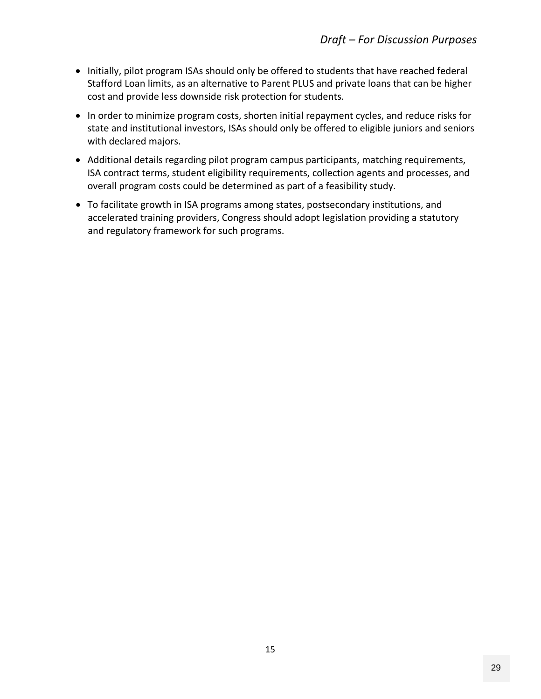- Initially, pilot program ISAs should only be offered to students that have reached federal Stafford Loan limits, as an alternative to Parent PLUS and private loans that can be higher cost and provide less downside risk protection for students.
- In order to minimize program costs, shorten initial repayment cycles, and reduce risks for state and institutional investors, ISAs should only be offered to eligible juniors and seniors with declared majors.
- Additional details regarding pilot program campus participants, matching requirements, ISA contract terms, student eligibility requirements, collection agents and processes, and overall program costs could be determined as part of a feasibility study.
- To facilitate growth in ISA programs among states, postsecondary institutions, and accelerated training providers, Congress should adopt legislation providing a statutory and regulatory framework for such programs.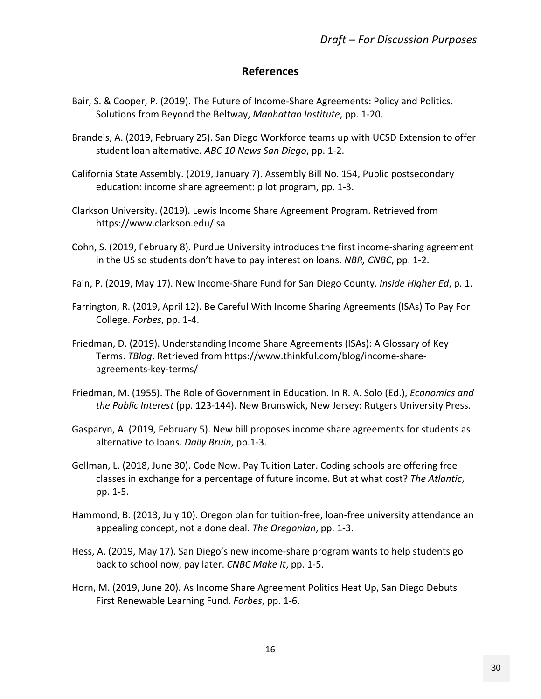# **References**

- Bair, S. & Cooper, P. (2019). The Future of Income‐Share Agreements: Policy and Politics. Solutions from Beyond the Beltway, *Manhattan Institute*, pp. 1‐20.
- Brandeis, A. (2019, February 25). San Diego Workforce teams up with UCSD Extension to offer student loan alternative. *ABC 10 News San Diego*, pp. 1‐2.
- California State Assembly. (2019, January 7). Assembly Bill No. 154, Public postsecondary education: income share agreement: pilot program, pp. 1‐3.
- Clarkson University. (2019). Lewis Income Share Agreement Program. Retrieved from https://www.clarkson.edu/isa
- Cohn, S. (2019, February 8). Purdue University introduces the first income‐sharing agreement in the US so students don't have to pay interest on loans. *NBR, CNBC*, pp. 1‐2.
- Fain, P. (2019, May 17). New Income‐Share Fund for San Diego County. *Inside Higher Ed*, p. 1.
- Farrington, R. (2019, April 12). Be Careful With Income Sharing Agreements (ISAs) To Pay For College. *Forbes*, pp. 1‐4.
- Friedman, D. (2019). Understanding Income Share Agreements (ISAs): A Glossary of Key Terms. *TBlog*. Retrieved from https://www.thinkful.com/blog/income‐share‐ agreements‐key‐terms/
- Friedman, M. (1955). The Role of Government in Education. In R. A. Solo (Ed.), *Economics and the Public Interest* (pp. 123‐144). New Brunswick, New Jersey: Rutgers University Press.
- Gasparyn, A. (2019, February 5). New bill proposes income share agreements for students as alternative to loans. *Daily Bruin*, pp.1‐3.
- Gellman, L. (2018, June 30). Code Now. Pay Tuition Later. Coding schools are offering free classes in exchange for a percentage of future income. But at what cost? *The Atlantic*, pp. 1‐5.
- Hammond, B. (2013, July 10). Oregon plan for tuition‐free, loan‐free university attendance an appealing concept, not a done deal. *The Oregonian*, pp. 1‐3.
- Hess, A. (2019, May 17). San Diego's new income‐share program wants to help students go back to school now, pay later. *CNBC Make It*, pp. 1‐5.
- Horn, M. (2019, June 20). As Income Share Agreement Politics Heat Up, San Diego Debuts First Renewable Learning Fund. *Forbes*, pp. 1‐6.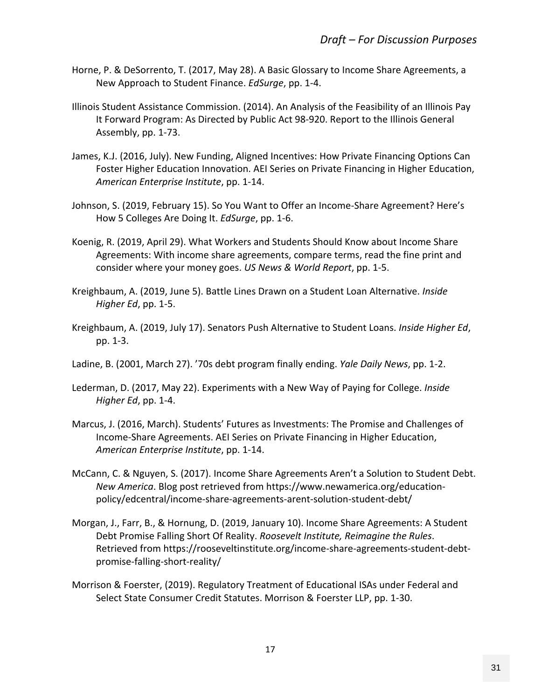- Horne, P. & DeSorrento, T. (2017, May 28). A Basic Glossary to Income Share Agreements, a New Approach to Student Finance. *EdSurge*, pp. 1‐4.
- Illinois Student Assistance Commission. (2014). An Analysis of the Feasibility of an Illinois Pay It Forward Program: As Directed by Public Act 98‐920. Report to the Illinois General Assembly, pp. 1‐73.
- James, K.J. (2016, July). New Funding, Aligned Incentives: How Private Financing Options Can Foster Higher Education Innovation. AEI Series on Private Financing in Higher Education, *American Enterprise Institute*, pp. 1‐14.
- Johnson, S. (2019, February 15). So You Want to Offer an Income‐Share Agreement? Here's How 5 Colleges Are Doing It. *EdSurge*, pp. 1‐6.
- Koenig, R. (2019, April 29). What Workers and Students Should Know about Income Share Agreements: With income share agreements, compare terms, read the fine print and consider where your money goes. *US News & World Report*, pp. 1‐5.
- Kreighbaum, A. (2019, June 5). Battle Lines Drawn on a Student Loan Alternative. *Inside Higher Ed*, pp. 1‐5.
- Kreighbaum, A. (2019, July 17). Senators Push Alternative to Student Loans. *Inside Higher Ed*, pp. 1‐3.
- Ladine, B. (2001, March 27). '70s debt program finally ending. *Yale Daily News*, pp. 1‐2.
- Lederman, D. (2017, May 22). Experiments with a New Way of Paying for College. *Inside Higher Ed*, pp. 1‐4.
- Marcus, J. (2016, March). Students' Futures as Investments: The Promise and Challenges of Income‐Share Agreements. AEI Series on Private Financing in Higher Education, *American Enterprise Institute*, pp. 1‐14.
- McCann, C. & Nguyen, S. (2017). Income Share Agreements Aren't a Solution to Student Debt. *New America*. Blog post retrieved from https://www.newamerica.org/education‐ policy/edcentral/income‐share‐agreements‐arent‐solution‐student‐debt/
- Morgan, J., Farr, B., & Hornung, D. (2019, January 10). Income Share Agreements: A Student Debt Promise Falling Short Of Reality. *Roosevelt Institute, Reimagine the Rules*. Retrieved from https://rooseveltinstitute.org/income‐share‐agreements‐student‐debt‐ promise‐falling‐short‐reality/
- Morrison & Foerster, (2019). Regulatory Treatment of Educational ISAs under Federal and Select State Consumer Credit Statutes. Morrison & Foerster LLP, pp. 1‐30.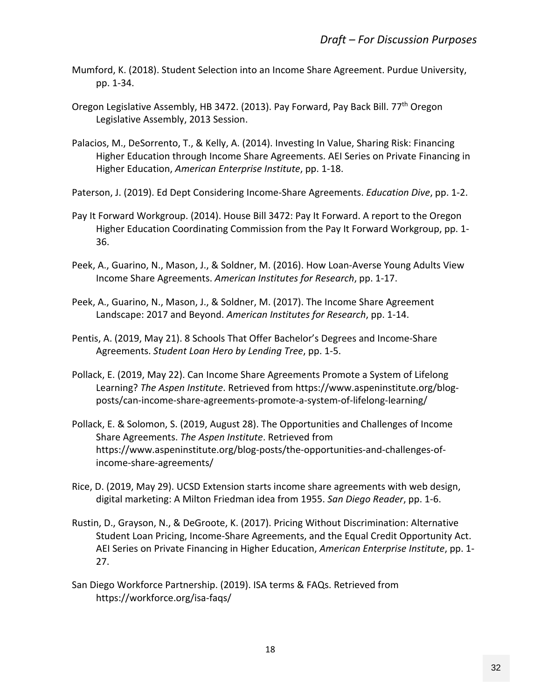- Mumford, K. (2018). Student Selection into an Income Share Agreement. Purdue University, pp. 1‐34.
- Oregon Legislative Assembly, HB 3472. (2013). Pay Forward, Pay Back Bill. 77<sup>th</sup> Oregon Legislative Assembly, 2013 Session.
- Palacios, M., DeSorrento, T., & Kelly, A. (2014). Investing In Value, Sharing Risk: Financing Higher Education through Income Share Agreements. AEI Series on Private Financing in Higher Education, *American Enterprise Institute*, pp. 1‐18.
- Paterson, J. (2019). Ed Dept Considering Income‐Share Agreements. *Education Dive*, pp. 1‐2.
- Pay It Forward Workgroup. (2014). House Bill 3472: Pay It Forward. A report to the Oregon Higher Education Coordinating Commission from the Pay It Forward Workgroup, pp. 1‐ 36.
- Peek, A., Guarino, N., Mason, J., & Soldner, M. (2016). How Loan‐Averse Young Adults View Income Share Agreements. *American Institutes for Research*, pp. 1‐17.
- Peek, A., Guarino, N., Mason, J., & Soldner, M. (2017). The Income Share Agreement Landscape: 2017 and Beyond. *American Institutes for Research*, pp. 1‐14.
- Pentis, A. (2019, May 21). 8 Schools That Offer Bachelor's Degrees and Income‐Share Agreements. *Student Loan Hero by Lending Tree*, pp. 1‐5.
- Pollack, E. (2019, May 22). Can Income Share Agreements Promote a System of Lifelong Learning? *The Aspen Institute*. Retrieved from https://www.aspeninstitute.org/blog‐ posts/can‐income‐share‐agreements‐promote‐a‐system‐of‐lifelong‐learning/
- Pollack, E. & Solomon, S. (2019, August 28). The Opportunities and Challenges of Income Share Agreements. *The Aspen Institute*. Retrieved from https://www.aspeninstitute.org/blog-posts/the-opportunities-and-challenges-ofincome‐share‐agreements/
- Rice, D. (2019, May 29). UCSD Extension starts income share agreements with web design, digital marketing: A Milton Friedman idea from 1955. *San Diego Reader*, pp. 1‐6.
- Rustin, D., Grayson, N., & DeGroote, K. (2017). Pricing Without Discrimination: Alternative Student Loan Pricing, Income‐Share Agreements, and the Equal Credit Opportunity Act. AEI Series on Private Financing in Higher Education, *American Enterprise Institute*, pp. 1‐ 27.
- San Diego Workforce Partnership. (2019). ISA terms & FAQs. Retrieved from https://workforce.org/isa‐faqs/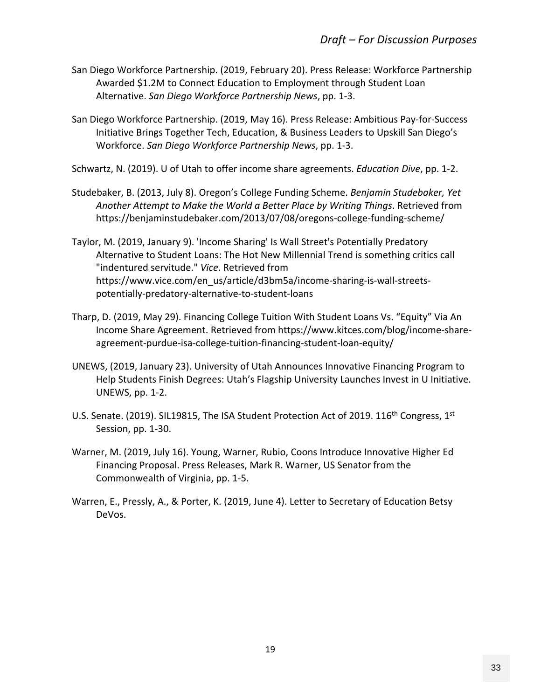- San Diego Workforce Partnership. (2019, February 20). Press Release: Workforce Partnership Awarded \$1.2M to Connect Education to Employment through Student Loan Alternative. *San Diego Workforce Partnership News*, pp. 1‐3.
- San Diego Workforce Partnership. (2019, May 16). Press Release: Ambitious Pay‐for‐Success Initiative Brings Together Tech, Education, & Business Leaders to Upskill San Diego's Workforce. *San Diego Workforce Partnership News*, pp. 1‐3.

Schwartz, N. (2019). U of Utah to offer income share agreements. *Education Dive*, pp. 1‐2.

- Studebaker, B. (2013, July 8). Oregon's College Funding Scheme. *Benjamin Studebaker, Yet Another Attempt to Make the World a Better Place by Writing Things*. Retrieved from https://benjaminstudebaker.com/2013/07/08/oregons‐college‐funding‐scheme/
- Taylor, M. (2019, January 9). 'Income Sharing' Is Wall Street's Potentially Predatory Alternative to Student Loans: The Hot New Millennial Trend is something critics call "indentured servitude." *Vice*. Retrieved from https://www.vice.com/en\_us/article/d3bm5a/income-sharing-is-wall-streetspotentially‐predatory‐alternative‐to‐student‐loans
- Tharp, D. (2019, May 29). Financing College Tuition With Student Loans Vs. "Equity" Via An Income Share Agreement. Retrieved from https://www.kitces.com/blog/income‐share‐ agreement-purdue-isa-college-tuition-financing-student-loan-equity/
- UNEWS, (2019, January 23). University of Utah Announces Innovative Financing Program to Help Students Finish Degrees: Utah's Flagship University Launches Invest in U Initiative. UNEWS, pp. 1‐2.
- U.S. Senate. (2019). SIL19815, The ISA Student Protection Act of 2019. 116<sup>th</sup> Congress, 1<sup>st</sup> Session, pp. 1‐30.
- Warner, M. (2019, July 16). Young, Warner, Rubio, Coons Introduce Innovative Higher Ed Financing Proposal. Press Releases, Mark R. Warner, US Senator from the Commonwealth of Virginia, pp. 1‐5.
- Warren, E., Pressly, A., & Porter, K. (2019, June 4). Letter to Secretary of Education Betsy DeVos.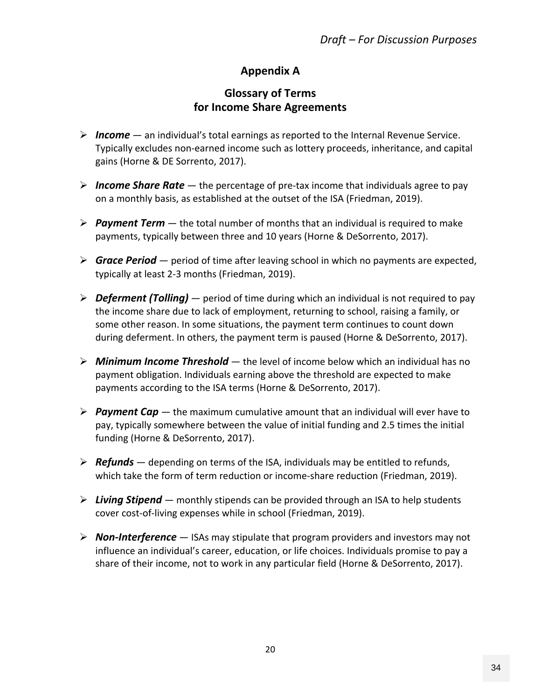# **Appendix A**

# **Glossary of Terms for Income Share Agreements**

- *Income* an individual's total earnings as reported to the Internal Revenue Service. Typically excludes non‐earned income such as lottery proceeds, inheritance, and capital gains (Horne & DE Sorrento, 2017).
- *Income Share Rate* the percentage of pre‐tax income that individuals agree to pay on a monthly basis, as established at the outset of the ISA (Friedman, 2019).
- *Payment Term* the total number of months that an individual is required to make payments, typically between three and 10 years (Horne & DeSorrento, 2017).
- *Grace Period* period of time after leaving school in which no payments are expected, typically at least 2‐3 months (Friedman, 2019).
- *Deferment (Tolling)* period of time during which an individual is not required to pay the income share due to lack of employment, returning to school, raising a family, or some other reason. In some situations, the payment term continues to count down during deferment. In others, the payment term is paused (Horne & DeSorrento, 2017).
- *Minimum Income Threshold* the level of income below which an individual has no payment obligation. Individuals earning above the threshold are expected to make payments according to the ISA terms (Horne & DeSorrento, 2017).
- *Payment Cap* the maximum cumulative amount that an individual will ever have to pay, typically somewhere between the value of initial funding and 2.5 times the initial funding (Horne & DeSorrento, 2017).
- *Refunds* depending on terms of the ISA, individuals may be entitled to refunds, which take the form of term reduction or income‐share reduction (Friedman, 2019).
- *Living Stipend* monthly stipends can be provided through an ISA to help students cover cost‐of‐living expenses while in school (Friedman, 2019).
- *Non‐Interference* ISAs may stipulate that program providers and investors may not influence an individual's career, education, or life choices. Individuals promise to pay a share of their income, not to work in any particular field (Horne & DeSorrento, 2017).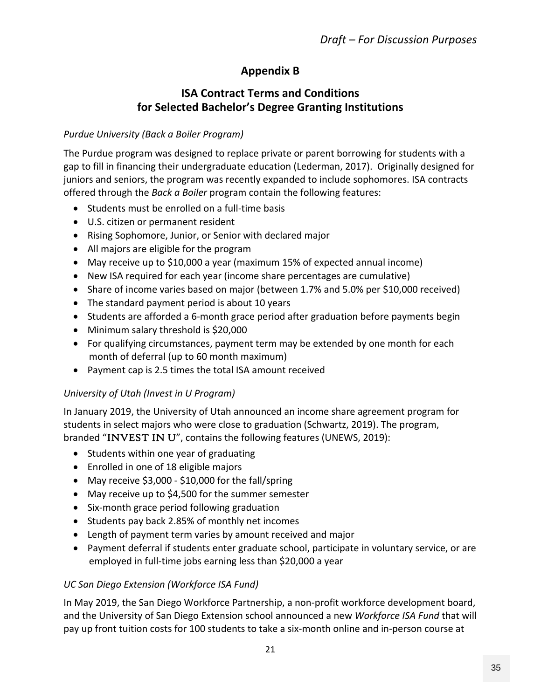# **Appendix B**

# **ISA Contract Terms and Conditions for Selected Bachelor's Degree Granting Institutions**

### *Purdue University (Back a Boiler Program)*

The Purdue program was designed to replace private or parent borrowing for students with a gap to fill in financing their undergraduate education (Lederman, 2017). Originally designed for juniors and seniors, the program was recently expanded to include sophomores. ISA contracts offered through the *Back a Boiler* program contain the following features:

- Students must be enrolled on a full-time basis
- U.S. citizen or permanent resident
- Rising Sophomore, Junior, or Senior with declared major
- All majors are eligible for the program
- May receive up to \$10,000 a year (maximum 15% of expected annual income)
- New ISA required for each year (income share percentages are cumulative)
- Share of income varies based on major (between 1.7% and 5.0% per \$10,000 received)
- The standard payment period is about 10 years
- Students are afforded a 6-month grace period after graduation before payments begin
- Minimum salary threshold is \$20,000
- For qualifying circumstances, payment term may be extended by one month for each month of deferral (up to 60 month maximum)
- Payment cap is 2.5 times the total ISA amount received

### *University of Utah (Invest in U Program)*

In January 2019, the University of Utah announced an income share agreement program for students in select majors who were close to graduation (Schwartz, 2019). The program, branded "INVEST IN U", contains the following features (UNEWS, 2019):

- Students within one year of graduating
- Enrolled in one of 18 eligible majors
- May receive \$3,000 \$10,000 for the fall/spring
- May receive up to \$4,500 for the summer semester
- Six-month grace period following graduation
- Students pay back 2.85% of monthly net incomes
- Length of payment term varies by amount received and major
- Payment deferral if students enter graduate school, participate in voluntary service, or are employed in full‐time jobs earning less than \$20,000 a year

### *UC San Diego Extension (Workforce ISA Fund)*

In May 2019, the San Diego Workforce Partnership, a non-profit workforce development board, and the University of San Diego Extension school announced a new *Workforce ISA Fund* that will pay up front tuition costs for 100 students to take a six‐month online and in‐person course at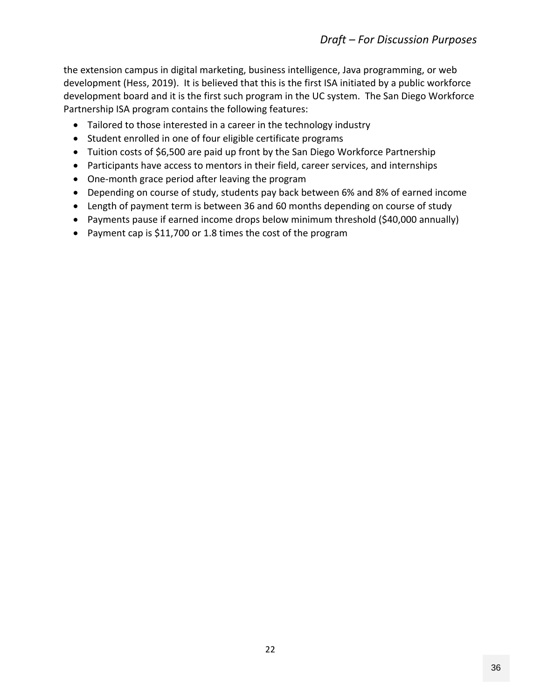the extension campus in digital marketing, business intelligence, Java programming, or web development (Hess, 2019). It is believed that this is the first ISA initiated by a public workforce development board and it is the first such program in the UC system. The San Diego Workforce Partnership ISA program contains the following features:

- Tailored to those interested in a career in the technology industry
- Student enrolled in one of four eligible certificate programs
- Tuition costs of \$6,500 are paid up front by the San Diego Workforce Partnership
- Participants have access to mentors in their field, career services, and internships
- One-month grace period after leaving the program
- Depending on course of study, students pay back between 6% and 8% of earned income
- Length of payment term is between 36 and 60 months depending on course of study
- Payments pause if earned income drops below minimum threshold (\$40,000 annually)
- Payment cap is \$11,700 or 1.8 times the cost of the program